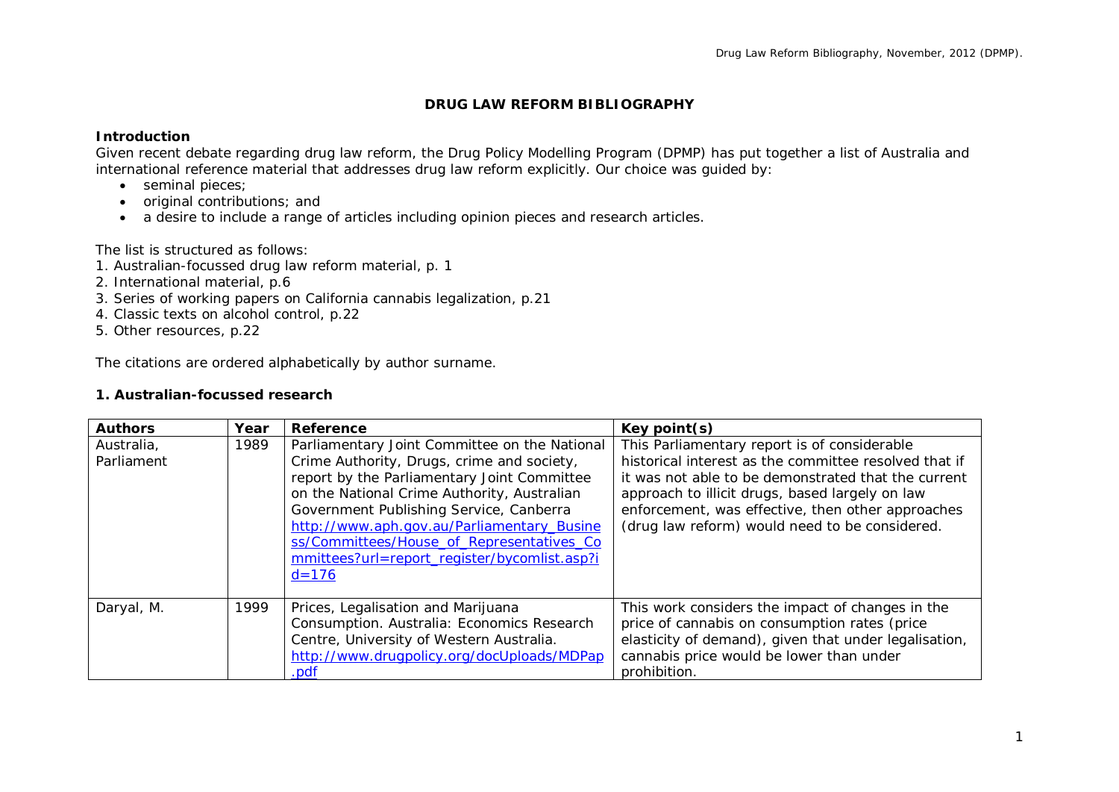## **DRUG LAW REFORM BIBLIOGRAPHY**

### **Introduction**

Given recent debate regarding drug law reform, the Drug Policy Modelling Program (DPMP) has put together a list of Australia and international reference material that addresses drug law reform explicitly. Our choice was guided by:

- seminal pieces:
- original contributions; and
- a desire to include a range of articles including opinion pieces and research articles.

The list is structured as follows:

- 1. Australian-focussed drug law reform material, p. 1
- 2. International material, p.6
- 3. Series of working papers on California cannabis legalization, p.21
- 4. Classic texts on alcohol control, p.22
- 5. Other resources, p.22

The citations are ordered alphabetically by author surname.

#### **1. Australian-focussed research**

| <b>Authors</b>           | Year | Reference                                                                                                                                                                                                                                                                                                                                                                                    | Key point(s)                                                                                                                                                                                                                                                                                                           |
|--------------------------|------|----------------------------------------------------------------------------------------------------------------------------------------------------------------------------------------------------------------------------------------------------------------------------------------------------------------------------------------------------------------------------------------------|------------------------------------------------------------------------------------------------------------------------------------------------------------------------------------------------------------------------------------------------------------------------------------------------------------------------|
| Australia,<br>Parliament | 1989 | Parliamentary Joint Committee on the National<br>Crime Authority, Drugs, crime and society,<br>report by the Parliamentary Joint Committee<br>on the National Crime Authority, Australian<br>Government Publishing Service, Canberra<br>http://www.aph.gov.au/Parliamentary_Busine<br>ss/Committees/House_of_Representatives_Co<br>mmittees?url=report_register/bycomlist.asp?i<br>$d = 176$ | This Parliamentary report is of considerable<br>historical interest as the committee resolved that if<br>it was not able to be demonstrated that the current<br>approach to illicit drugs, based largely on law<br>enforcement, was effective, then other approaches<br>(drug law reform) would need to be considered. |
| Daryal, M.               | 1999 | Prices, Legalisation and Marijuana<br>Consumption. Australia: Economics Research<br>Centre, University of Western Australia.<br>http://www.drugpolicy.org/docUploads/MDPap<br>.pdf                                                                                                                                                                                                           | This work considers the impact of changes in the<br>price of cannabis on consumption rates (price<br>elasticity of demand), given that under legalisation,<br>cannabis price would be lower than under<br>prohibition.                                                                                                 |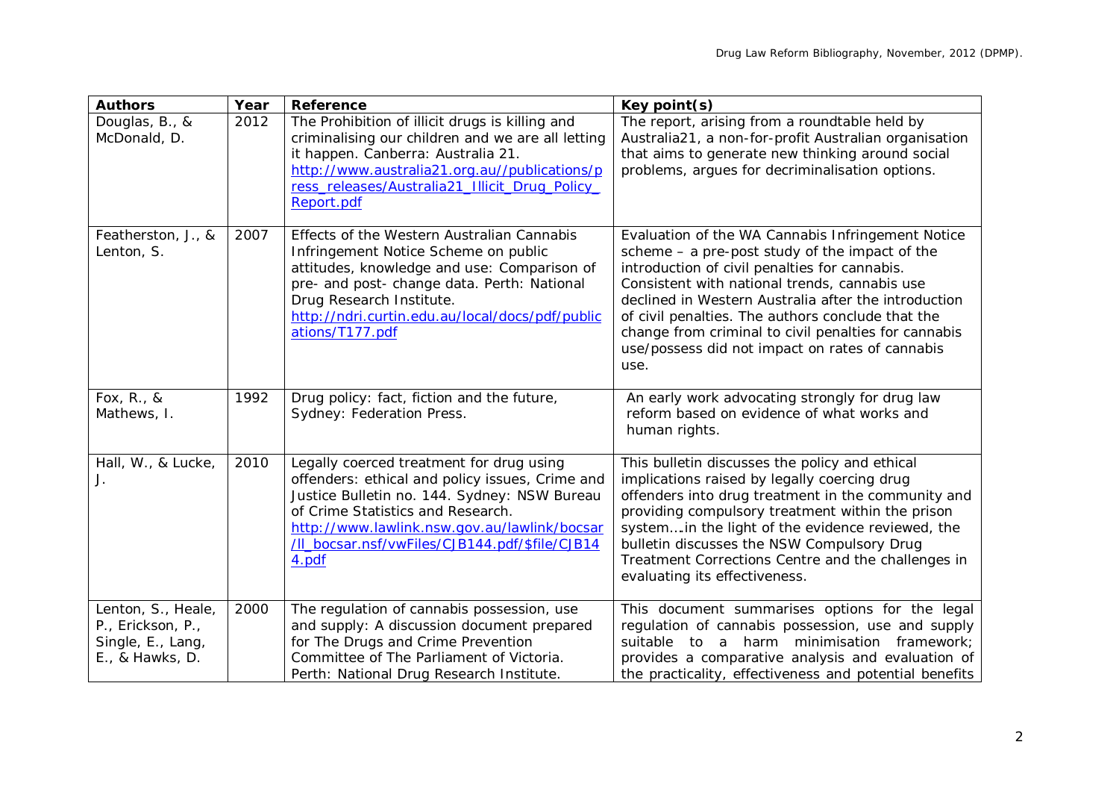| <b>Authors</b>                                                                  | Year | Reference                                                                                                                                                                                                                                                                                   | Key point(s)                                                                                                                                                                                                                                                                                                                                                                                                                            |
|---------------------------------------------------------------------------------|------|---------------------------------------------------------------------------------------------------------------------------------------------------------------------------------------------------------------------------------------------------------------------------------------------|-----------------------------------------------------------------------------------------------------------------------------------------------------------------------------------------------------------------------------------------------------------------------------------------------------------------------------------------------------------------------------------------------------------------------------------------|
| Douglas, B., &<br>McDonald, D.                                                  | 2012 | The Prohibition of illicit drugs is killing and<br>criminalising our children and we are all letting<br>it happen. Canberra: Australia 21.<br>http://www.australia21.org.au//publications/p<br>ress_releases/Australia21_Illicit_Drug_Policy_<br>Report.pdf                                 | The report, arising from a roundtable held by<br>Australia21, a non-for-profit Australian organisation<br>that aims to generate new thinking around social<br>problems, argues for decriminalisation options.                                                                                                                                                                                                                           |
| Featherston, J., &<br>Lenton, S.                                                | 2007 | Effects of the Western Australian Cannabis<br>Infringement Notice Scheme on public<br>attitudes, knowledge and use: Comparison of<br>pre- and post- change data. Perth: National<br>Drug Research Institute.<br>http://ndri.curtin.edu.au/local/docs/pdf/public<br>ations/T177.pdf          | Evaluation of the WA Cannabis Infringement Notice<br>scheme $-$ a pre-post study of the impact of the<br>introduction of civil penalties for cannabis.<br>Consistent with national trends, cannabis use<br>declined in Western Australia after the introduction<br>of civil penalties. The authors conclude that the<br>change from criminal to civil penalties for cannabis<br>use/possess did not impact on rates of cannabis<br>use. |
| Fox, R., &<br>Mathews, I.                                                       | 1992 | Drug policy: fact, fiction and the future,<br>Sydney: Federation Press.                                                                                                                                                                                                                     | An early work advocating strongly for drug law<br>reform based on evidence of what works and<br>human rights.                                                                                                                                                                                                                                                                                                                           |
| Hall, W., & Lucke,<br>J.                                                        | 2010 | Legally coerced treatment for drug using<br>offenders: ethical and policy issues, Crime and<br>Justice Bulletin no. 144. Sydney: NSW Bureau<br>of Crime Statistics and Research.<br>http://www.lawlink.nsw.gov.au/lawlink/bocsar<br>/II_bocsar.nsf/vwFiles/CJB144.pdf/\$file/CJB14<br>4.pdf | This bulletin discusses the policy and ethical<br>implications raised by legally coercing drug<br>offenders into drug treatment in the community and<br>providing compulsory treatment within the prison<br>systemin the light of the evidence reviewed, the<br>bulletin discusses the NSW Compulsory Drug<br>Treatment Corrections Centre and the challenges in<br>evaluating its effectiveness.                                       |
| Lenton, S., Heale,<br>P., Erickson, P.,<br>Single, E., Lang,<br>E., & Hawks, D. | 2000 | The regulation of cannabis possession, use<br>and supply: A discussion document prepared<br>for The Drugs and Crime Prevention<br>Committee of The Parliament of Victoria.<br>Perth: National Drug Research Institute.                                                                      | This document summarises options for the legal<br>regulation of cannabis possession, use and supply<br>suitable to a harm minimisation framework;<br>provides a comparative analysis and evaluation of<br>the practicality, effectiveness and potential benefits                                                                                                                                                                        |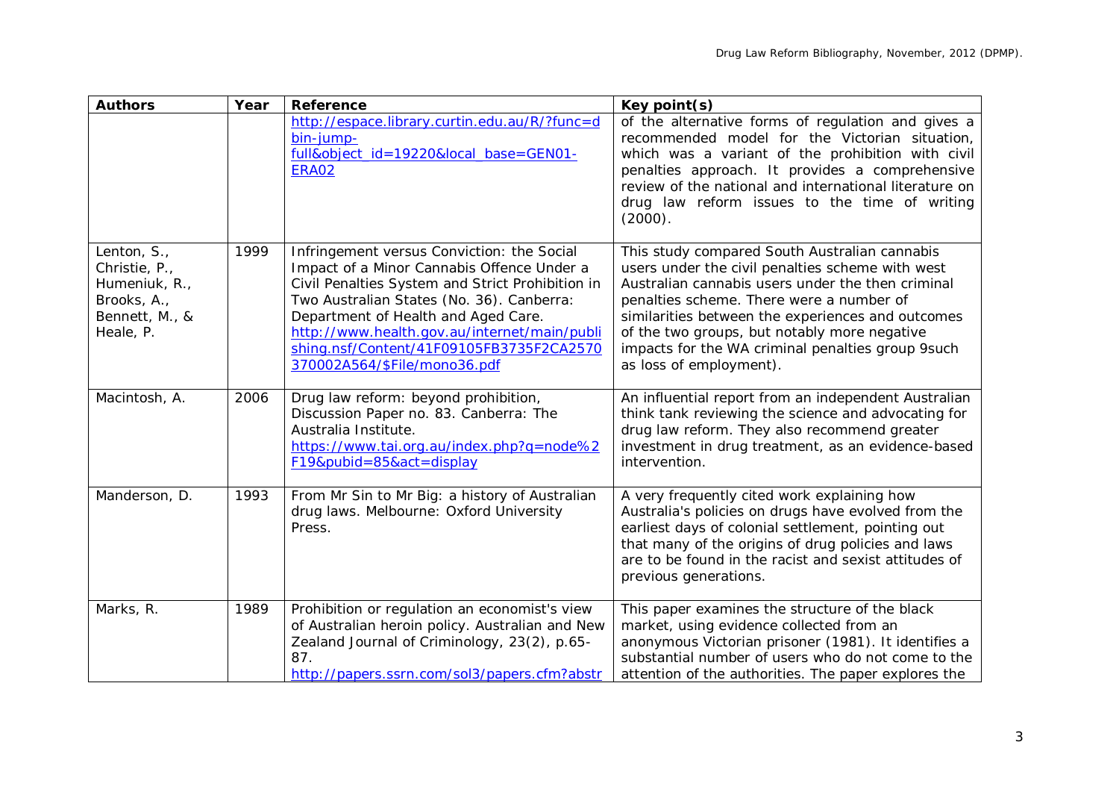| <b>Authors</b>                                                                              | Year | Reference                                                                                                                                                                                                                                                                                                                                                    | Key point(s)                                                                                                                                                                                                                                                                                                                                                                            |
|---------------------------------------------------------------------------------------------|------|--------------------------------------------------------------------------------------------------------------------------------------------------------------------------------------------------------------------------------------------------------------------------------------------------------------------------------------------------------------|-----------------------------------------------------------------------------------------------------------------------------------------------------------------------------------------------------------------------------------------------------------------------------------------------------------------------------------------------------------------------------------------|
|                                                                                             |      | http://espace.library.curtin.edu.au/R/?func=d<br>bin-jump-<br>full&object_id=19220&local_base=GEN01-<br><b>ERA02</b>                                                                                                                                                                                                                                         | of the alternative forms of regulation and gives a<br>recommended model for the Victorian situation,<br>which was a variant of the prohibition with civil<br>penalties approach. It provides a comprehensive<br>review of the national and international literature on<br>drug law reform issues to the time of writing<br>$(2000)$ .                                                   |
| Lenton, S.,<br>Christie, P.,<br>Humeniuk, R.,<br>Brooks, A.,<br>Bennett, M., &<br>Heale, P. | 1999 | Infringement versus Conviction: the Social<br>Impact of a Minor Cannabis Offence Under a<br>Civil Penalties System and Strict Prohibition in<br>Two Australian States (No. 36). Canberra:<br>Department of Health and Aged Care.<br>http://www.health.gov.au/internet/main/publi<br>shing.nsf/Content/41F09105FB3735F2CA2570<br>370002A564/\$File/mono36.pdf | This study compared South Australian cannabis<br>users under the civil penalties scheme with west<br>Australian cannabis users under the then criminal<br>penalties scheme. There were a number of<br>similarities between the experiences and outcomes<br>of the two groups, but notably more negative<br>impacts for the WA criminal penalties group 9such<br>as loss of employment). |
| Macintosh, A.                                                                               | 2006 | Drug law reform: beyond prohibition,<br>Discussion Paper no. 83. Canberra: The<br>Australia Institute.<br>https://www.tai.org.au/index.php?q=node%2<br>F19&pubid=85&act=display                                                                                                                                                                              | An influential report from an independent Australian<br>think tank reviewing the science and advocating for<br>drug law reform. They also recommend greater<br>investment in drug treatment, as an evidence-based<br>intervention.                                                                                                                                                      |
| Manderson, D.                                                                               | 1993 | From Mr Sin to Mr Big: a history of Australian<br>drug laws. Melbourne: Oxford University<br>Press.                                                                                                                                                                                                                                                          | A very frequently cited work explaining how<br>Australia's policies on drugs have evolved from the<br>earliest days of colonial settlement, pointing out<br>that many of the origins of drug policies and laws<br>are to be found in the racist and sexist attitudes of<br>previous generations.                                                                                        |
| Marks, R.                                                                                   | 1989 | Prohibition or regulation an economist's view<br>of Australian heroin policy. Australian and New<br>Zealand Journal of Criminology, 23(2), p.65-<br>87.<br>http://papers.ssrn.com/sol3/papers.cfm?abstr                                                                                                                                                      | This paper examines the structure of the black<br>market, using evidence collected from an<br>anonymous Victorian prisoner (1981). It identifies a<br>substantial number of users who do not come to the<br>attention of the authorities. The paper explores the                                                                                                                        |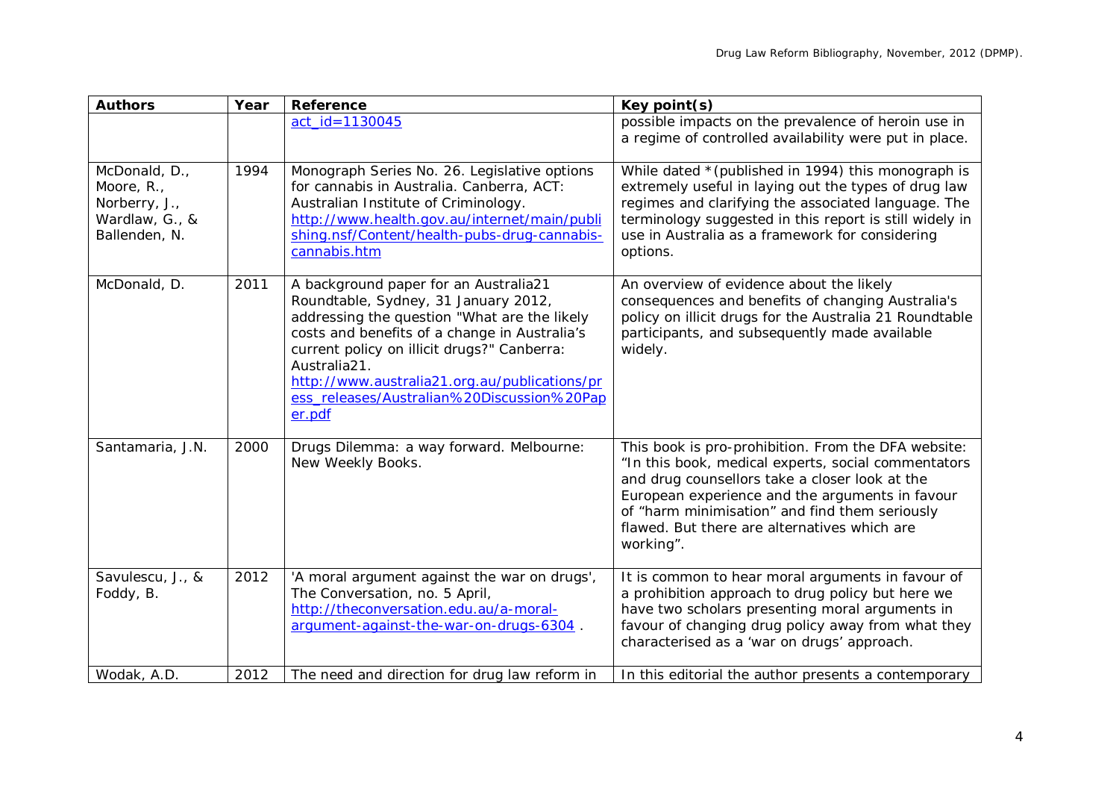| <b>Authors</b>                                                                  | Year | Reference                                                                                                                                                                                                                                                                                                                                              | Key point(s)                                                                                                                                                                                                                                                                                                                   |
|---------------------------------------------------------------------------------|------|--------------------------------------------------------------------------------------------------------------------------------------------------------------------------------------------------------------------------------------------------------------------------------------------------------------------------------------------------------|--------------------------------------------------------------------------------------------------------------------------------------------------------------------------------------------------------------------------------------------------------------------------------------------------------------------------------|
|                                                                                 |      | act_id=1130045                                                                                                                                                                                                                                                                                                                                         | possible impacts on the prevalence of heroin use in<br>a regime of controlled availability were put in place.                                                                                                                                                                                                                  |
| McDonald, D.,<br>Moore, R.,<br>Norberry, J.,<br>Wardlaw, G., &<br>Ballenden, N. | 1994 | Monograph Series No. 26. Legislative options<br>for cannabis in Australia. Canberra, ACT:<br>Australian Institute of Criminology.<br>http://www.health.gov.au/internet/main/publi<br>shing.nsf/Content/health-pubs-drug-cannabis-<br>cannabis.htm                                                                                                      | While dated * (published in 1994) this monograph is<br>extremely useful in laying out the types of drug law<br>regimes and clarifying the associated language. The<br>terminology suggested in this report is still widely in<br>use in Australia as a framework for considering<br>options.                                   |
| McDonald, D.                                                                    | 2011 | A background paper for an Australia21<br>Roundtable, Sydney, 31 January 2012,<br>addressing the question "What are the likely<br>costs and benefits of a change in Australia's<br>current policy on illicit drugs?" Canberra:<br>Australia21.<br>http://www.australia21.org.au/publications/pr<br>ess_releases/Australian%20Discussion%20Pap<br>er.pdf | An overview of evidence about the likely<br>consequences and benefits of changing Australia's<br>policy on illicit drugs for the Australia 21 Roundtable<br>participants, and subsequently made available<br>widely.                                                                                                           |
| Santamaria, J.N.                                                                | 2000 | Drugs Dilemma: a way forward. Melbourne:<br>New Weekly Books.                                                                                                                                                                                                                                                                                          | This book is pro-prohibition. From the DFA website:<br>"In this book, medical experts, social commentators<br>and drug counsellors take a closer look at the<br>European experience and the arguments in favour<br>of "harm minimisation" and find them seriously<br>flawed. But there are alternatives which are<br>working". |
| Savulescu, J., &<br>Foddy, B.                                                   | 2012 | 'A moral argument against the war on drugs',<br>The Conversation, no. 5 April,<br>http://theconversation.edu.au/a-moral-<br>argument-against-the-war-on-drugs-6304.                                                                                                                                                                                    | It is common to hear moral arguments in favour of<br>a prohibition approach to drug policy but here we<br>have two scholars presenting moral arguments in<br>favour of changing drug policy away from what they<br>characterised as a 'war on drugs' approach.                                                                 |
| Wodak, A.D.                                                                     | 2012 | The need and direction for drug law reform in                                                                                                                                                                                                                                                                                                          | In this editorial the author presents a contemporary                                                                                                                                                                                                                                                                           |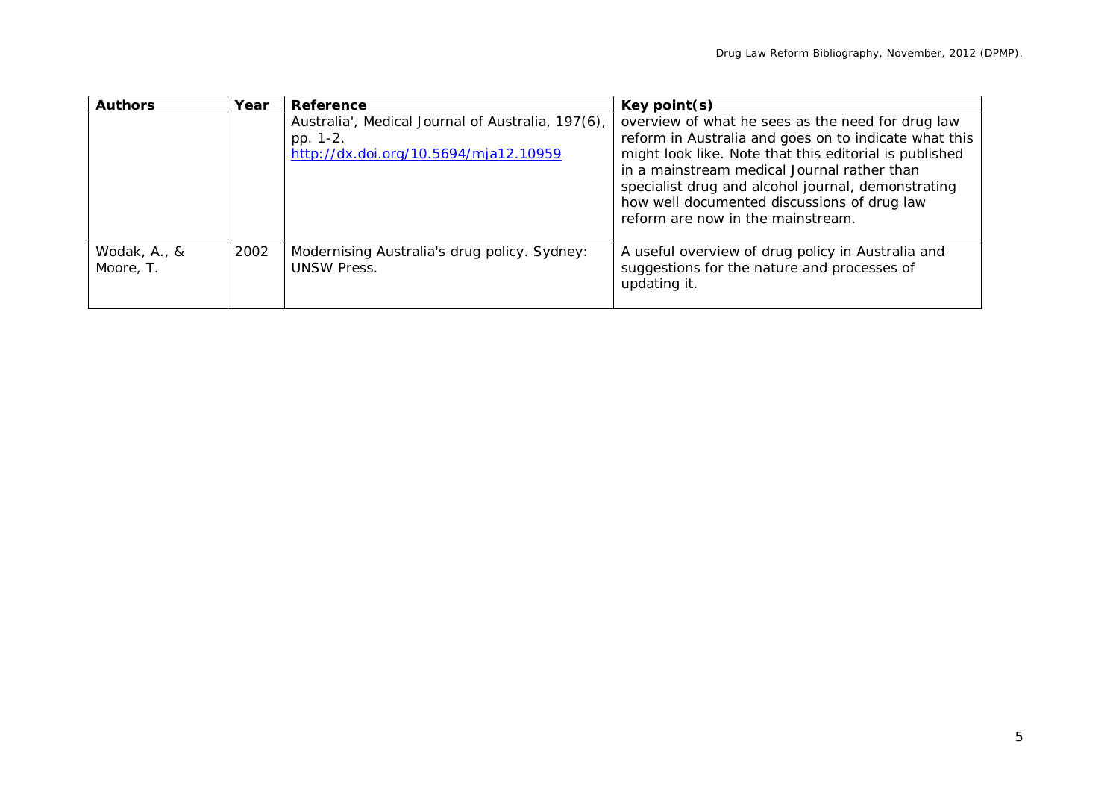| <b>Authors</b>            | Year | Reference                                                                                              | Key point(s)                                                                                                                                                                                                                                                                                                                                                  |
|---------------------------|------|--------------------------------------------------------------------------------------------------------|---------------------------------------------------------------------------------------------------------------------------------------------------------------------------------------------------------------------------------------------------------------------------------------------------------------------------------------------------------------|
|                           |      | Australia', Medical Journal of Australia, 197(6),<br>pp. 1-2.<br>http://dx.doi.org/10.5694/mja12.10959 | overview of what he sees as the need for drug law<br>reform in Australia and goes on to indicate what this<br>might look like. Note that this editorial is published<br>in a mainstream medical Journal rather than<br>specialist drug and alcohol journal, demonstrating<br>how well documented discussions of drug law<br>reform are now in the mainstream. |
| Wodak, A., &<br>Moore, T. | 2002 | Modernising Australia's drug policy. Sydney:<br><b>UNSW Press.</b>                                     | A useful overview of drug policy in Australia and<br>suggestions for the nature and processes of<br>updating it.                                                                                                                                                                                                                                              |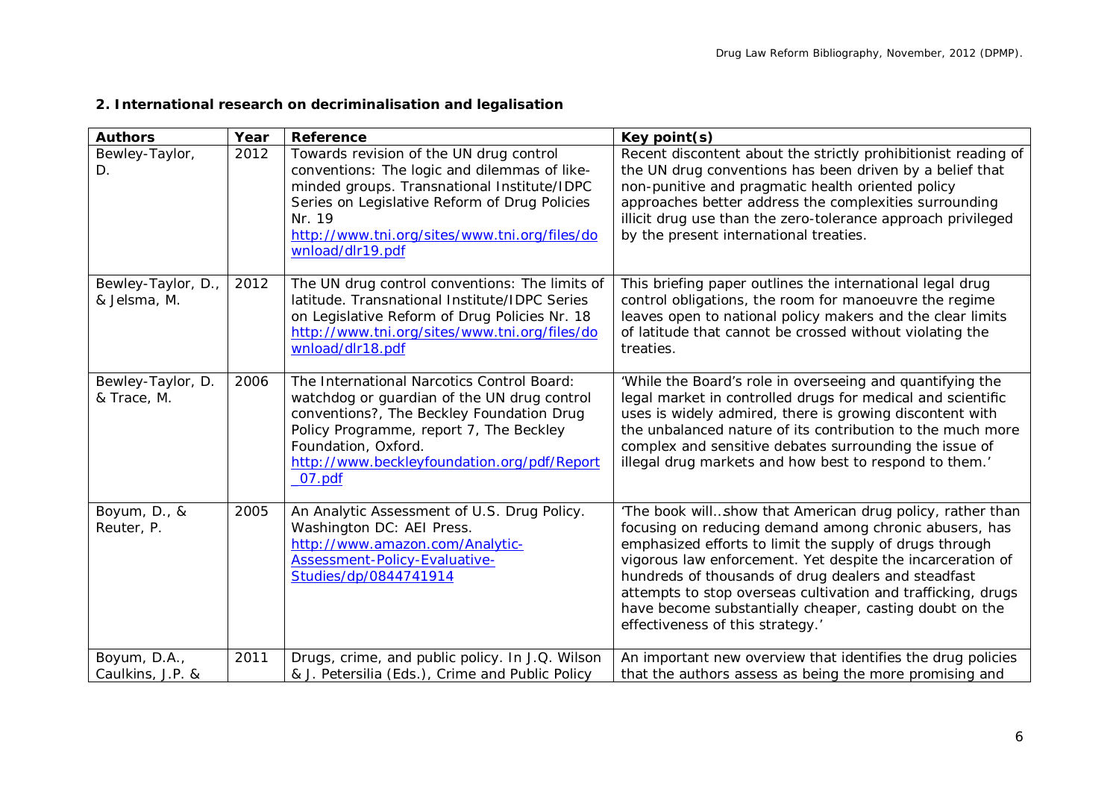| <b>Authors</b>                     | Year | Reference                                                                                                                                                                                                                                                              | Key point(s)                                                                                                                                                                                                                                                                                                                                                                                                                                                       |
|------------------------------------|------|------------------------------------------------------------------------------------------------------------------------------------------------------------------------------------------------------------------------------------------------------------------------|--------------------------------------------------------------------------------------------------------------------------------------------------------------------------------------------------------------------------------------------------------------------------------------------------------------------------------------------------------------------------------------------------------------------------------------------------------------------|
| Bewley-Taylor,<br>D.               | 2012 | Towards revision of the UN drug control<br>conventions: The logic and dilemmas of like-<br>minded groups. Transnational Institute/IDPC<br>Series on Legislative Reform of Drug Policies<br>Nr. 19<br>http://www.tni.org/sites/www.tni.org/files/do<br>wnload/dlr19.pdf | Recent discontent about the strictly prohibitionist reading of<br>the UN drug conventions has been driven by a belief that<br>non-punitive and pragmatic health oriented policy<br>approaches better address the complexities surrounding<br>illicit drug use than the zero-tolerance approach privileged<br>by the present international treaties.                                                                                                                |
| Bewley-Taylor, D.,<br>& Jelsma, M. | 2012 | The UN drug control conventions: The limits of<br>latitude. Transnational Institute/IDPC Series<br>on Legislative Reform of Drug Policies Nr. 18<br>http://www.tni.org/sites/www.tni.org/files/do<br>wnload/dlr18.pdf                                                  | This briefing paper outlines the international legal drug<br>control obligations, the room for manoeuvre the regime<br>leaves open to national policy makers and the clear limits<br>of latitude that cannot be crossed without violating the<br>treaties.                                                                                                                                                                                                         |
| Bewley-Taylor, D.<br>& Trace, M.   | 2006 | The International Narcotics Control Board:<br>watchdog or guardian of the UN drug control<br>conventions?, The Beckley Foundation Drug<br>Policy Programme, report 7, The Beckley<br>Foundation, Oxford.<br>http://www.beckleyfoundation.org/pdf/Report<br>07.pdf      | 'While the Board's role in overseeing and quantifying the<br>legal market in controlled drugs for medical and scientific<br>uses is widely admired, there is growing discontent with<br>the unbalanced nature of its contribution to the much more<br>complex and sensitive debates surrounding the issue of<br>illegal drug markets and how best to respond to them.'                                                                                             |
| Boyum, D., &<br>Reuter, P.         | 2005 | An Analytic Assessment of U.S. Drug Policy.<br>Washington DC: AEI Press.<br>http://www.amazon.com/Analytic-<br><b>Assessment-Policy-Evaluative-</b><br>Studies/dp/0844741914                                                                                           | 'The book willshow that American drug policy, rather than<br>focusing on reducing demand among chronic abusers, has<br>emphasized efforts to limit the supply of drugs through<br>vigorous law enforcement. Yet despite the incarceration of<br>hundreds of thousands of drug dealers and steadfast<br>attempts to stop overseas cultivation and trafficking, drugs<br>have become substantially cheaper, casting doubt on the<br>effectiveness of this strategy.' |
| Boyum, D.A.,<br>Caulkins, J.P. &   | 2011 | Drugs, crime, and public policy. In J.Q. Wilson<br>& J. Petersilia (Eds.), Crime and Public Policy                                                                                                                                                                     | An important new overview that identifies the drug policies<br>that the authors assess as being the more promising and                                                                                                                                                                                                                                                                                                                                             |

# **2. International research on decriminalisation and legalisation**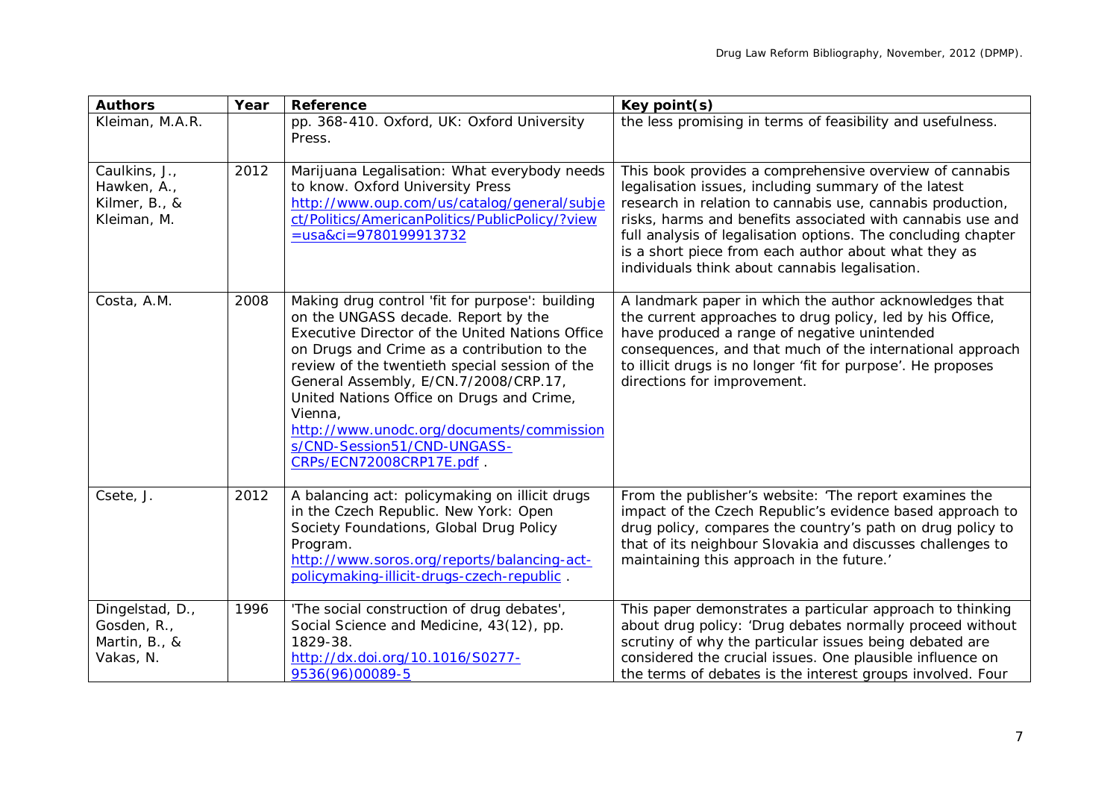| <b>Authors</b>                                               | Year | <b>Reference</b>                                                                                                                                                                                                                                                                                                                                                                                                                                    | Key point(s)                                                                                                                                                                                                                                                                                                                                                                                                           |
|--------------------------------------------------------------|------|-----------------------------------------------------------------------------------------------------------------------------------------------------------------------------------------------------------------------------------------------------------------------------------------------------------------------------------------------------------------------------------------------------------------------------------------------------|------------------------------------------------------------------------------------------------------------------------------------------------------------------------------------------------------------------------------------------------------------------------------------------------------------------------------------------------------------------------------------------------------------------------|
| Kleiman, M.A.R.                                              |      | pp. 368-410. Oxford, UK: Oxford University<br>Press.                                                                                                                                                                                                                                                                                                                                                                                                | the less promising in terms of feasibility and usefulness.                                                                                                                                                                                                                                                                                                                                                             |
| Caulkins, J.,<br>Hawken, A.,<br>Kilmer, B., &<br>Kleiman, M. | 2012 | Marijuana Legalisation: What everybody needs<br>to know. Oxford University Press<br>http://www.oup.com/us/catalog/general/subje<br>ct/Politics/AmericanPolitics/PublicPolicy/?view<br>$=$ usa&ci=9780199913732                                                                                                                                                                                                                                      | This book provides a comprehensive overview of cannabis<br>legalisation issues, including summary of the latest<br>research in relation to cannabis use, cannabis production,<br>risks, harms and benefits associated with cannabis use and<br>full analysis of legalisation options. The concluding chapter<br>is a short piece from each author about what they as<br>individuals think about cannabis legalisation. |
| Costa, A.M.                                                  | 2008 | Making drug control 'fit for purpose': building<br>on the UNGASS decade. Report by the<br>Executive Director of the United Nations Office<br>on Drugs and Crime as a contribution to the<br>review of the twentieth special session of the<br>General Assembly, E/CN.7/2008/CRP.17,<br>United Nations Office on Drugs and Crime,<br>Vienna,<br>http://www.unodc.org/documents/commission<br>s/CND-Session51/CND-UNGASS-<br>CRPs/ECN72008CRP17E.pdf. | A landmark paper in which the author acknowledges that<br>the current approaches to drug policy, led by his Office,<br>have produced a range of negative unintended<br>consequences, and that much of the international approach<br>to illicit drugs is no longer 'fit for purpose'. He proposes<br>directions for improvement.                                                                                        |
| Csete, J.                                                    | 2012 | A balancing act: policymaking on illicit drugs<br>in the Czech Republic. New York: Open<br>Society Foundations, Global Drug Policy<br>Program.<br>http://www.soros.org/reports/balancing-act-<br>policymaking-illicit-drugs-czech-republic                                                                                                                                                                                                          | From the publisher's website: 'The report examines the<br>impact of the Czech Republic's evidence based approach to<br>drug policy, compares the country's path on drug policy to<br>that of its neighbour Slovakia and discusses challenges to<br>maintaining this approach in the future.'                                                                                                                           |
| Dingelstad, D.,<br>Gosden, R.,<br>Martin, B., &<br>Vakas, N. | 1996 | 'The social construction of drug debates',<br>Social Science and Medicine, 43(12), pp.<br>1829-38.<br>http://dx.doi.org/10.1016/S0277-<br>9536(96)00089-5                                                                                                                                                                                                                                                                                           | This paper demonstrates a particular approach to thinking<br>about drug policy: 'Drug debates normally proceed without<br>scrutiny of why the particular issues being debated are<br>considered the crucial issues. One plausible influence on<br>the terms of debates is the interest groups involved. Four                                                                                                           |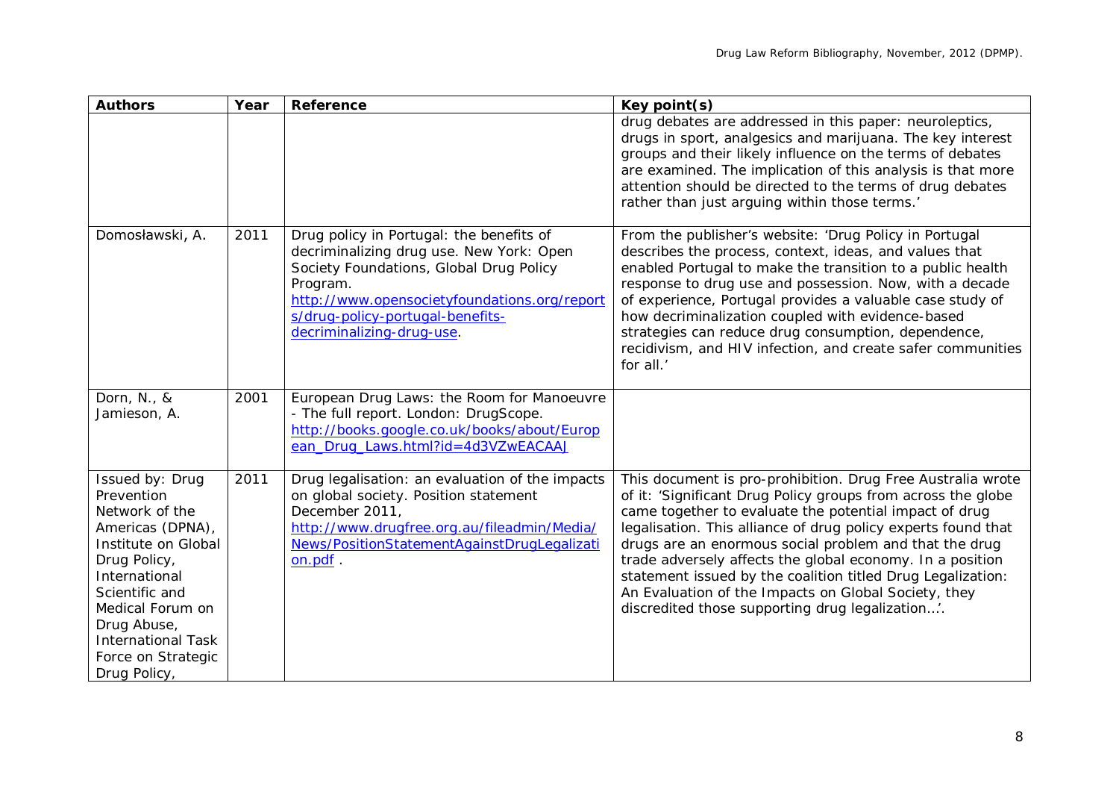| <b>Authors</b>                                                                                                                                                                                                                                      | Year | Reference                                                                                                                                                                                                                                                    | Key point(s)                                                                                                                                                                                                                                                                                                                                                                                                                                                                                                                                             |
|-----------------------------------------------------------------------------------------------------------------------------------------------------------------------------------------------------------------------------------------------------|------|--------------------------------------------------------------------------------------------------------------------------------------------------------------------------------------------------------------------------------------------------------------|----------------------------------------------------------------------------------------------------------------------------------------------------------------------------------------------------------------------------------------------------------------------------------------------------------------------------------------------------------------------------------------------------------------------------------------------------------------------------------------------------------------------------------------------------------|
|                                                                                                                                                                                                                                                     |      |                                                                                                                                                                                                                                                              | drug debates are addressed in this paper: neuroleptics,<br>drugs in sport, analgesics and marijuana. The key interest<br>groups and their likely influence on the terms of debates<br>are examined. The implication of this analysis is that more<br>attention should be directed to the terms of drug debates<br>rather than just arguing within those terms.'                                                                                                                                                                                          |
| Domosławski, A.                                                                                                                                                                                                                                     | 2011 | Drug policy in Portugal: the benefits of<br>decriminalizing drug use. New York: Open<br>Society Foundations, Global Drug Policy<br>Program.<br>http://www.opensocietyfoundations.org/report<br>s/drug-policy-portugal-benefits-<br>decriminalizing-drug-use. | From the publisher's website: 'Drug Policy in Portugal<br>describes the process, context, ideas, and values that<br>enabled Portugal to make the transition to a public health<br>response to drug use and possession. Now, with a decade<br>of experience, Portugal provides a valuable case study of<br>how decriminalization coupled with evidence-based<br>strategies can reduce drug consumption, dependence,<br>recidivism, and HIV infection, and create safer communities<br>for all.'                                                           |
| Dorn, N., &<br>Jamieson, A.                                                                                                                                                                                                                         | 2001 | European Drug Laws: the Room for Manoeuvre<br>- The full report. London: DrugScope.<br>http://books.google.co.uk/books/about/Europ<br>ean_Drug_Laws.html?id=4d3VZwEACAAJ                                                                                     |                                                                                                                                                                                                                                                                                                                                                                                                                                                                                                                                                          |
| Issued by: Drug<br>Prevention<br>Network of the<br>Americas (DPNA),<br>Institute on Global<br>Drug Policy,<br>International<br>Scientific and<br>Medical Forum on<br>Drug Abuse,<br><b>International Task</b><br>Force on Strategic<br>Drug Policy, | 2011 | Drug legalisation: an evaluation of the impacts<br>on global society. Position statement<br>December 2011,<br>http://www.drugfree.org.au/fileadmin/Media/<br>News/PositionStatementAgainstDrugLegalizati<br>on.pdf.                                          | This document is pro-prohibition. Drug Free Australia wrote<br>of it: 'Significant Drug Policy groups from across the globe<br>came together to evaluate the potential impact of drug<br>legalisation. This alliance of drug policy experts found that<br>drugs are an enormous social problem and that the drug<br>trade adversely affects the global economy. In a position<br>statement issued by the coalition titled Drug Legalization:<br>An Evaluation of the Impacts on Global Society, they<br>discredited those supporting drug legalization'. |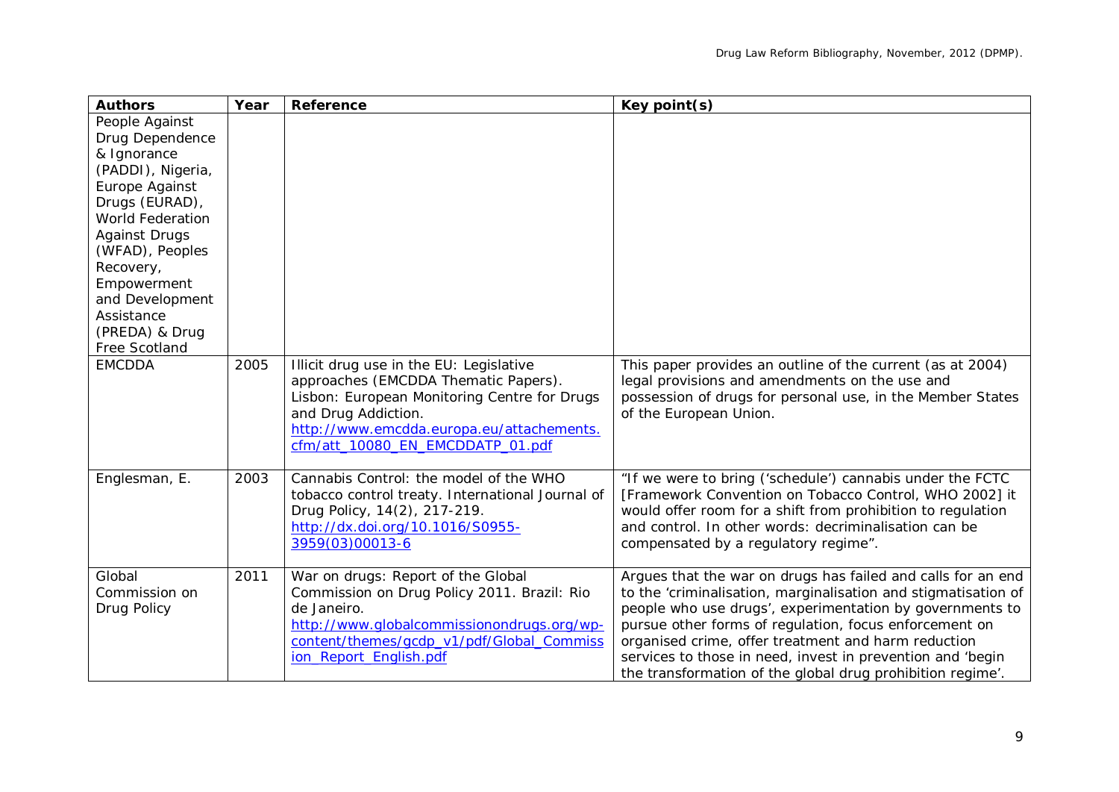| <b>Authors</b>                          | Year | <b>Reference</b>                                                                                                                                                                                                                        | Key point(s)                                                                                                                                                                                                                                                                                                                                                                                                                            |
|-----------------------------------------|------|-----------------------------------------------------------------------------------------------------------------------------------------------------------------------------------------------------------------------------------------|-----------------------------------------------------------------------------------------------------------------------------------------------------------------------------------------------------------------------------------------------------------------------------------------------------------------------------------------------------------------------------------------------------------------------------------------|
| People Against                          |      |                                                                                                                                                                                                                                         |                                                                                                                                                                                                                                                                                                                                                                                                                                         |
| Drug Dependence                         |      |                                                                                                                                                                                                                                         |                                                                                                                                                                                                                                                                                                                                                                                                                                         |
| & Ignorance                             |      |                                                                                                                                                                                                                                         |                                                                                                                                                                                                                                                                                                                                                                                                                                         |
| (PADDI), Nigeria,                       |      |                                                                                                                                                                                                                                         |                                                                                                                                                                                                                                                                                                                                                                                                                                         |
| Europe Against                          |      |                                                                                                                                                                                                                                         |                                                                                                                                                                                                                                                                                                                                                                                                                                         |
| Drugs (EURAD),                          |      |                                                                                                                                                                                                                                         |                                                                                                                                                                                                                                                                                                                                                                                                                                         |
| World Federation                        |      |                                                                                                                                                                                                                                         |                                                                                                                                                                                                                                                                                                                                                                                                                                         |
| <b>Against Drugs</b><br>(WFAD), Peoples |      |                                                                                                                                                                                                                                         |                                                                                                                                                                                                                                                                                                                                                                                                                                         |
| Recovery,                               |      |                                                                                                                                                                                                                                         |                                                                                                                                                                                                                                                                                                                                                                                                                                         |
| Empowerment                             |      |                                                                                                                                                                                                                                         |                                                                                                                                                                                                                                                                                                                                                                                                                                         |
| and Development                         |      |                                                                                                                                                                                                                                         |                                                                                                                                                                                                                                                                                                                                                                                                                                         |
| Assistance                              |      |                                                                                                                                                                                                                                         |                                                                                                                                                                                                                                                                                                                                                                                                                                         |
| (PREDA) & Drug                          |      |                                                                                                                                                                                                                                         |                                                                                                                                                                                                                                                                                                                                                                                                                                         |
| Free Scotland                           |      |                                                                                                                                                                                                                                         |                                                                                                                                                                                                                                                                                                                                                                                                                                         |
| <b>EMCDDA</b>                           | 2005 | Illicit drug use in the EU: Legislative<br>approaches (EMCDDA Thematic Papers).<br>Lisbon: European Monitoring Centre for Drugs<br>and Drug Addiction.<br>http://www.emcdda.europa.eu/attachements.<br>cfm/att_10080_EN_EMCDDATP_01.pdf | This paper provides an outline of the current (as at 2004)<br>legal provisions and amendments on the use and<br>possession of drugs for personal use, in the Member States<br>of the European Union.                                                                                                                                                                                                                                    |
| Englesman, E.                           | 2003 | Cannabis Control: the model of the WHO<br>tobacco control treaty. International Journal of<br>Drug Policy, 14(2), 217-219.<br>http://dx.doi.org/10.1016/S0955-<br>3959(03)00013-6                                                       | "If we were to bring ('schedule') cannabis under the FCTC<br>[Framework Convention on Tobacco Control, WHO 2002] it<br>would offer room for a shift from prohibition to regulation<br>and control. In other words: decriminalisation can be<br>compensated by a regulatory regime".                                                                                                                                                     |
| Global<br>Commission on<br>Drug Policy  | 2011 | War on drugs: Report of the Global<br>Commission on Drug Policy 2011. Brazil: Rio<br>de Janeiro.<br>http://www.globalcommissionondrugs.org/wp-<br>content/themes/gcdp_v1/pdf/Global_Commiss<br>ion_Report_English.pdf                   | Argues that the war on drugs has failed and calls for an end<br>to the 'criminalisation, marginalisation and stigmatisation of<br>people who use drugs', experimentation by governments to<br>pursue other forms of regulation, focus enforcement on<br>organised crime, offer treatment and harm reduction<br>services to those in need, invest in prevention and 'begin<br>the transformation of the global drug prohibition regime'. |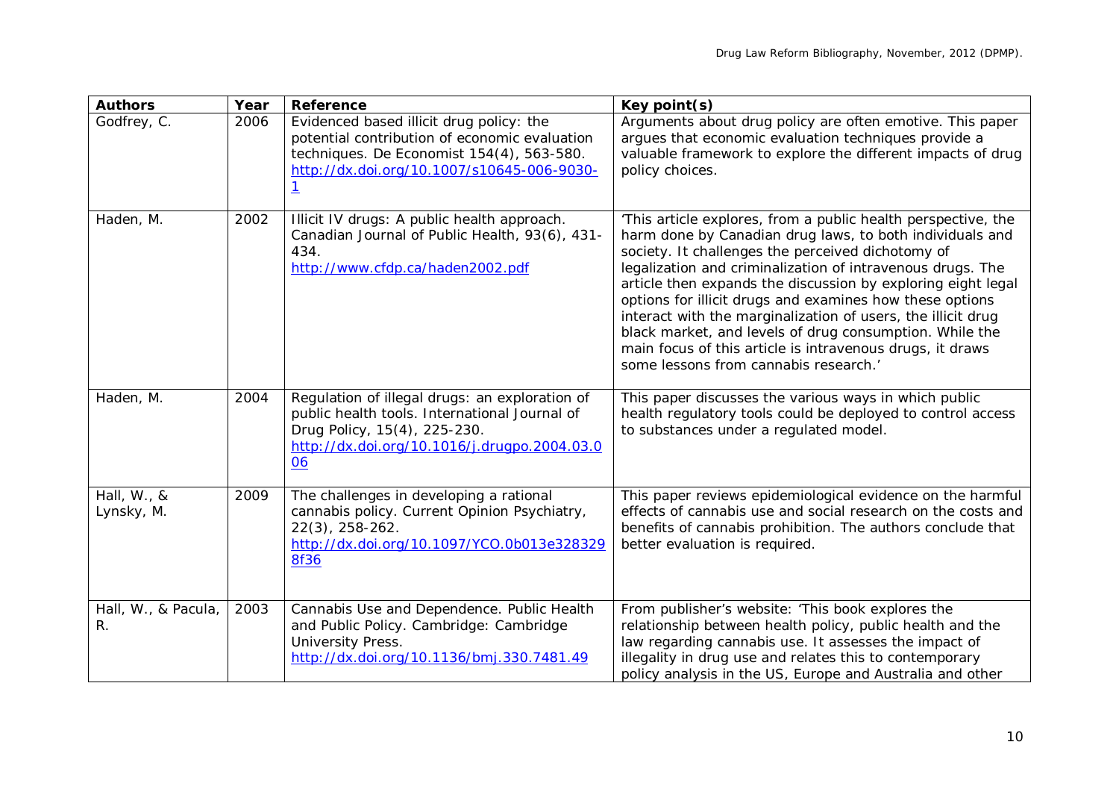| <b>Authors</b>            | Year | <b>Reference</b>                                                                                                                                                                      | Key point(s)                                                                                                                                                                                                                                                                                                                                                                                                                                                                                                                                                                                              |
|---------------------------|------|---------------------------------------------------------------------------------------------------------------------------------------------------------------------------------------|-----------------------------------------------------------------------------------------------------------------------------------------------------------------------------------------------------------------------------------------------------------------------------------------------------------------------------------------------------------------------------------------------------------------------------------------------------------------------------------------------------------------------------------------------------------------------------------------------------------|
| Godfrey, C.               | 2006 | Evidenced based illicit drug policy: the<br>potential contribution of economic evaluation<br>techniques. De Economist 154(4), 563-580.<br>http://dx.doi.org/10.1007/s10645-006-9030-  | Arguments about drug policy are often emotive. This paper<br>argues that economic evaluation techniques provide a<br>valuable framework to explore the different impacts of drug<br>policy choices.                                                                                                                                                                                                                                                                                                                                                                                                       |
| Haden, M.                 | 2002 | Illicit IV drugs: A public health approach.<br>Canadian Journal of Public Health, 93(6), 431-<br>434.<br>http://www.cfdp.ca/haden2002.pdf                                             | 'This article explores, from a public health perspective, the<br>harm done by Canadian drug laws, to both individuals and<br>society. It challenges the perceived dichotomy of<br>legalization and criminalization of intravenous drugs. The<br>article then expands the discussion by exploring eight legal<br>options for illicit drugs and examines how these options<br>interact with the marginalization of users, the illicit drug<br>black market, and levels of drug consumption. While the<br>main focus of this article is intravenous drugs, it draws<br>some lessons from cannabis research.' |
| Haden, M.                 | 2004 | Regulation of illegal drugs: an exploration of<br>public health tools. International Journal of<br>Drug Policy, 15(4), 225-230.<br>http://dx.doi.org/10.1016/j.drugpo.2004.03.0<br>06 | This paper discusses the various ways in which public<br>health regulatory tools could be deployed to control access<br>to substances under a regulated model.                                                                                                                                                                                                                                                                                                                                                                                                                                            |
| Hall, W., &<br>Lynsky, M. | 2009 | The challenges in developing a rational<br>cannabis policy. Current Opinion Psychiatry,<br>$22(3)$ , 258-262.<br>http://dx.doi.org/10.1097/YCO.0b013e328329<br><b>8f36</b>            | This paper reviews epidemiological evidence on the harmful<br>effects of cannabis use and social research on the costs and<br>benefits of cannabis prohibition. The authors conclude that<br>better evaluation is required.                                                                                                                                                                                                                                                                                                                                                                               |
| Hall, W., & Pacula,<br>R. | 2003 | Cannabis Use and Dependence. Public Health<br>and Public Policy. Cambridge: Cambridge<br>University Press.<br>http://dx.doi.org/10.1136/bmj.330.7481.49                               | From publisher's website: 'This book explores the<br>relationship between health policy, public health and the<br>law regarding cannabis use. It assesses the impact of<br>illegality in drug use and relates this to contemporary<br>policy analysis in the US, Europe and Australia and other                                                                                                                                                                                                                                                                                                           |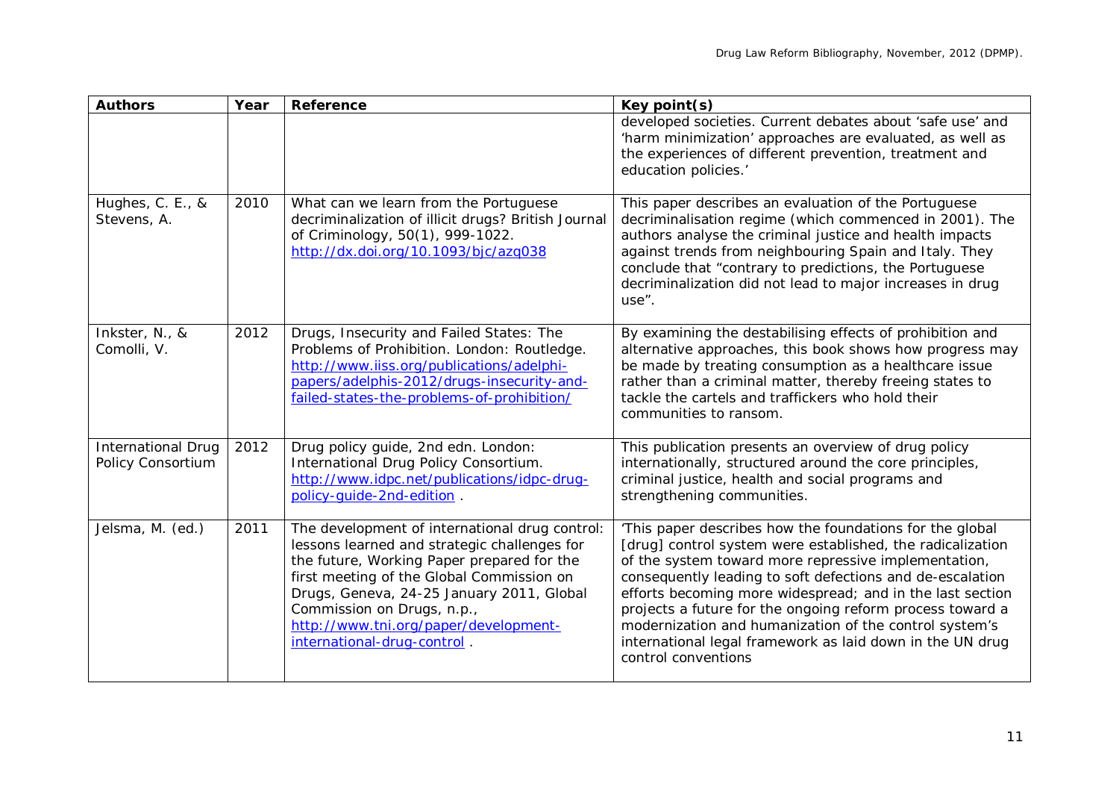| <b>Authors</b>                                 | Year | Reference                                                                                                                                                                                                                                                                                                                                    | Key point(s)                                                                                                                                                                                                                                                                                                                                                                                                                                                                                                        |
|------------------------------------------------|------|----------------------------------------------------------------------------------------------------------------------------------------------------------------------------------------------------------------------------------------------------------------------------------------------------------------------------------------------|---------------------------------------------------------------------------------------------------------------------------------------------------------------------------------------------------------------------------------------------------------------------------------------------------------------------------------------------------------------------------------------------------------------------------------------------------------------------------------------------------------------------|
|                                                |      |                                                                                                                                                                                                                                                                                                                                              | developed societies. Current debates about 'safe use' and<br>'harm minimization' approaches are evaluated, as well as<br>the experiences of different prevention, treatment and<br>education policies.'                                                                                                                                                                                                                                                                                                             |
| Hughes, C. E., &<br>Stevens, A.                | 2010 | What can we learn from the Portuguese<br>decriminalization of illicit drugs? British Journal<br>of Criminology, 50(1), 999-1022.<br>http://dx.doi.org/10.1093/bjc/azg038                                                                                                                                                                     | This paper describes an evaluation of the Portuguese<br>decriminalisation regime (which commenced in 2001). The<br>authors analyse the criminal justice and health impacts<br>against trends from neighbouring Spain and Italy. They<br>conclude that "contrary to predictions, the Portuguese<br>decriminalization did not lead to major increases in drug<br>use".                                                                                                                                                |
| Inkster, N., &<br>Comolli, V.                  | 2012 | Drugs, Insecurity and Failed States: The<br>Problems of Prohibition. London: Routledge.<br>http://www.iiss.org/publications/adelphi-<br>papers/adelphis-2012/drugs-insecurity-and-<br>failed-states-the-problems-of-prohibition/                                                                                                             | By examining the destabilising effects of prohibition and<br>alternative approaches, this book shows how progress may<br>be made by treating consumption as a healthcare issue<br>rather than a criminal matter, thereby freeing states to<br>tackle the cartels and traffickers who hold their<br>communities to ransom.                                                                                                                                                                                           |
| <b>International Drug</b><br>Policy Consortium | 2012 | Drug policy guide, 2nd edn. London:<br>International Drug Policy Consortium.<br>http://www.idpc.net/publications/idpc-drug-<br>policy-quide-2nd-edition.                                                                                                                                                                                     | This publication presents an overview of drug policy<br>internationally, structured around the core principles,<br>criminal justice, health and social programs and<br>strengthening communities.                                                                                                                                                                                                                                                                                                                   |
| Jelsma, M. (ed.)                               | 2011 | The development of international drug control:<br>lessons learned and strategic challenges for<br>the future, Working Paper prepared for the<br>first meeting of the Global Commission on<br>Drugs, Geneva, 24-25 January 2011, Global<br>Commission on Drugs, n.p.,<br>http://www.tni.org/paper/development-<br>international-drug-control. | 'This paper describes how the foundations for the global<br>[drug] control system were established, the radicalization<br>of the system toward more repressive implementation,<br>consequently leading to soft defections and de-escalation<br>efforts becoming more widespread; and in the last section<br>projects a future for the ongoing reform process toward a<br>modernization and humanization of the control system's<br>international legal framework as laid down in the UN drug<br>control conventions |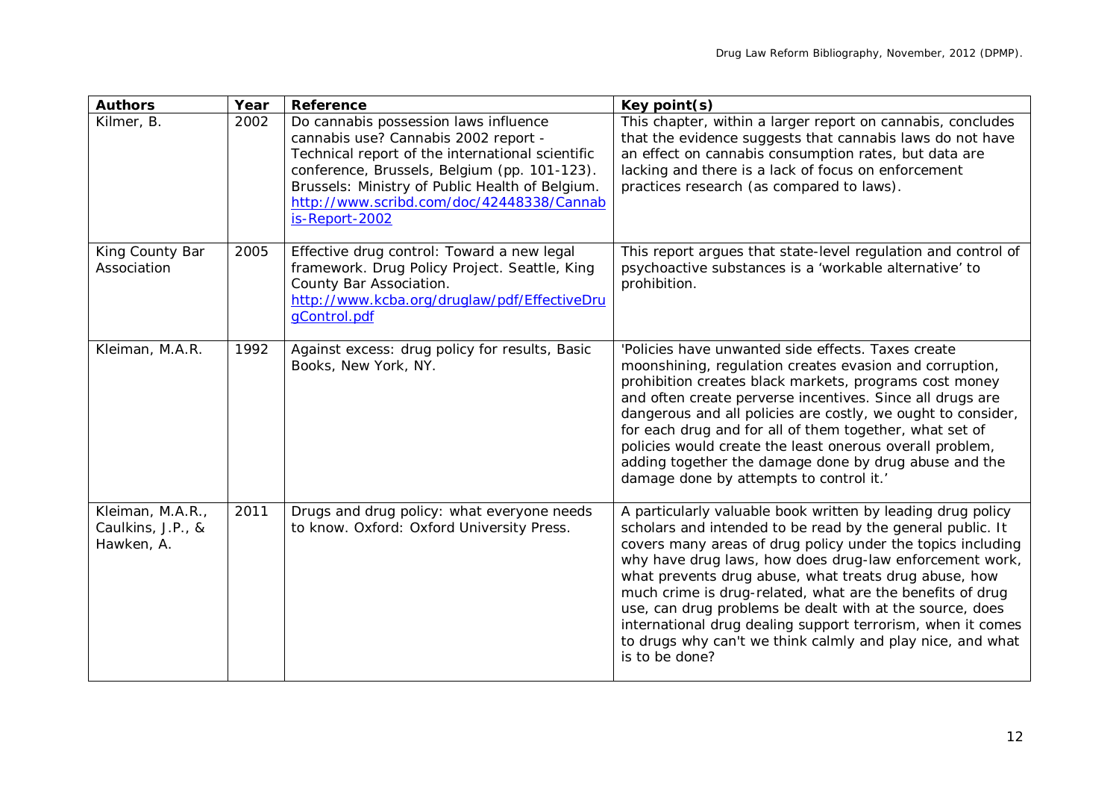| <b>Authors</b>                                      | Year | Reference                                                                                                                                                                                                                                                                                           | Key point(s)                                                                                                                                                                                                                                                                                                                                                                                                                                                                                                                                                                         |
|-----------------------------------------------------|------|-----------------------------------------------------------------------------------------------------------------------------------------------------------------------------------------------------------------------------------------------------------------------------------------------------|--------------------------------------------------------------------------------------------------------------------------------------------------------------------------------------------------------------------------------------------------------------------------------------------------------------------------------------------------------------------------------------------------------------------------------------------------------------------------------------------------------------------------------------------------------------------------------------|
| Kilmer, B.                                          | 2002 | Do cannabis possession laws influence<br>cannabis use? Cannabis 2002 report -<br>Technical report of the international scientific<br>conference, Brussels, Belgium (pp. 101-123).<br>Brussels: Ministry of Public Health of Belgium.<br>http://www.scribd.com/doc/42448338/Cannab<br>is-Report-2002 | This chapter, within a larger report on cannabis, concludes<br>that the evidence suggests that cannabis laws do not have<br>an effect on cannabis consumption rates, but data are<br>lacking and there is a lack of focus on enforcement<br>practices research (as compared to laws).                                                                                                                                                                                                                                                                                                |
| King County Bar<br>Association                      | 2005 | Effective drug control: Toward a new legal<br>framework. Drug Policy Project. Seattle, King<br>County Bar Association.<br>http://www.kcba.org/druglaw/pdf/EffectiveDru<br>qControl.pdf                                                                                                              | This report argues that state-level regulation and control of<br>psychoactive substances is a 'workable alternative' to<br>prohibition.                                                                                                                                                                                                                                                                                                                                                                                                                                              |
| Kleiman, M.A.R.                                     | 1992 | Against excess: drug policy for results, Basic<br>Books, New York, NY.                                                                                                                                                                                                                              | 'Policies have unwanted side effects. Taxes create<br>moonshining, regulation creates evasion and corruption,<br>prohibition creates black markets, programs cost money<br>and often create perverse incentives. Since all drugs are<br>dangerous and all policies are costly, we ought to consider,<br>for each drug and for all of them together, what set of<br>policies would create the least onerous overall problem,<br>adding together the damage done by drug abuse and the<br>damage done by attempts to control it.'                                                      |
| Kleiman, M.A.R.,<br>Caulkins, J.P., &<br>Hawken, A. | 2011 | Drugs and drug policy: what everyone needs<br>to know. Oxford: Oxford University Press.                                                                                                                                                                                                             | A particularly valuable book written by leading drug policy<br>scholars and intended to be read by the general public. It<br>covers many areas of drug policy under the topics including<br>why have drug laws, how does drug-law enforcement work,<br>what prevents drug abuse, what treats drug abuse, how<br>much crime is drug-related, what are the benefits of drug<br>use, can drug problems be dealt with at the source, does<br>international drug dealing support terrorism, when it comes<br>to drugs why can't we think calmly and play nice, and what<br>is to be done? |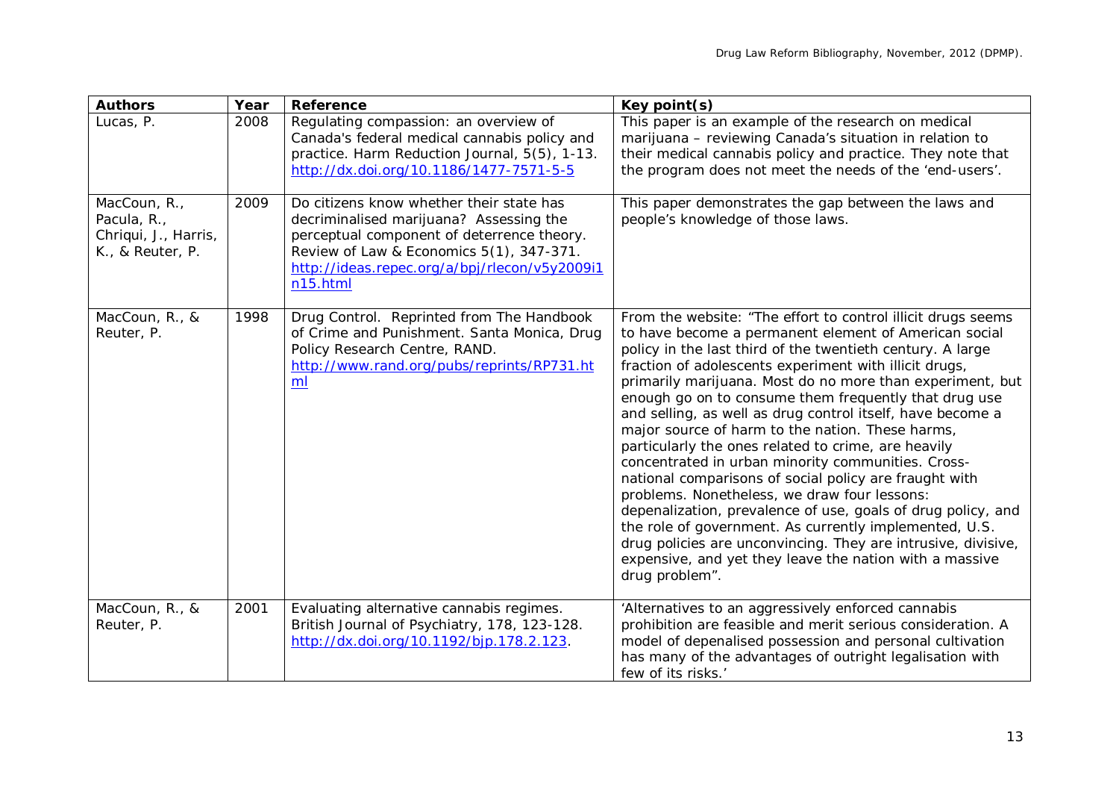| <b>Authors</b>                                                          | Year | <b>Reference</b>                                                                                                                                                                                                                           | Key point(s)                                                                                                                                                                                                                                                                                                                                                                                                                                                                                                                                                                                                                                                                                                                                                                                                                                                                                                                                                                         |
|-------------------------------------------------------------------------|------|--------------------------------------------------------------------------------------------------------------------------------------------------------------------------------------------------------------------------------------------|--------------------------------------------------------------------------------------------------------------------------------------------------------------------------------------------------------------------------------------------------------------------------------------------------------------------------------------------------------------------------------------------------------------------------------------------------------------------------------------------------------------------------------------------------------------------------------------------------------------------------------------------------------------------------------------------------------------------------------------------------------------------------------------------------------------------------------------------------------------------------------------------------------------------------------------------------------------------------------------|
| Lucas, P.                                                               | 2008 | Regulating compassion: an overview of<br>Canada's federal medical cannabis policy and<br>practice. Harm Reduction Journal, 5(5), 1-13.<br>http://dx.doi.org/10.1186/1477-7571-5-5                                                          | This paper is an example of the research on medical<br>marijuana - reviewing Canada's situation in relation to<br>their medical cannabis policy and practice. They note that<br>the program does not meet the needs of the 'end-users'.                                                                                                                                                                                                                                                                                                                                                                                                                                                                                                                                                                                                                                                                                                                                              |
| MacCoun, R.,<br>Pacula, R.,<br>Chriqui, J., Harris,<br>K., & Reuter, P. | 2009 | Do citizens know whether their state has<br>decriminalised marijuana? Assessing the<br>perceptual component of deterrence theory.<br>Review of Law & Economics 5(1), 347-371.<br>http://ideas.repec.org/a/bpj/rlecon/v5y2009i1<br>n15.html | This paper demonstrates the gap between the laws and<br>people's knowledge of those laws.                                                                                                                                                                                                                                                                                                                                                                                                                                                                                                                                                                                                                                                                                                                                                                                                                                                                                            |
| MacCoun, R., &<br>Reuter, P.                                            | 1998 | Drug Control. Reprinted from The Handbook<br>of Crime and Punishment. Santa Monica, Drug<br>Policy Research Centre, RAND.<br>http://www.rand.org/pubs/reprints/RP731.ht<br>ml                                                              | From the website: "The effort to control illicit drugs seems<br>to have become a permanent element of American social<br>policy in the last third of the twentieth century. A large<br>fraction of adolescents experiment with illicit drugs,<br>primarily marijuana. Most do no more than experiment, but<br>enough go on to consume them frequently that drug use<br>and selling, as well as drug control itself, have become a<br>major source of harm to the nation. These harms,<br>particularly the ones related to crime, are heavily<br>concentrated in urban minority communities. Cross-<br>national comparisons of social policy are fraught with<br>problems. Nonetheless, we draw four lessons:<br>depenalization, prevalence of use, goals of drug policy, and<br>the role of government. As currently implemented, U.S.<br>drug policies are unconvincing. They are intrusive, divisive,<br>expensive, and yet they leave the nation with a massive<br>drug problem". |
| MacCoun, R., &<br>Reuter, P.                                            | 2001 | Evaluating alternative cannabis regimes.<br>British Journal of Psychiatry, 178, 123-128.<br>http://dx.doi.org/10.1192/bjp.178.2.123.                                                                                                       | 'Alternatives to an aggressively enforced cannabis<br>prohibition are feasible and merit serious consideration. A<br>model of depenalised possession and personal cultivation<br>has many of the advantages of outright legalisation with<br>few of its risks.'                                                                                                                                                                                                                                                                                                                                                                                                                                                                                                                                                                                                                                                                                                                      |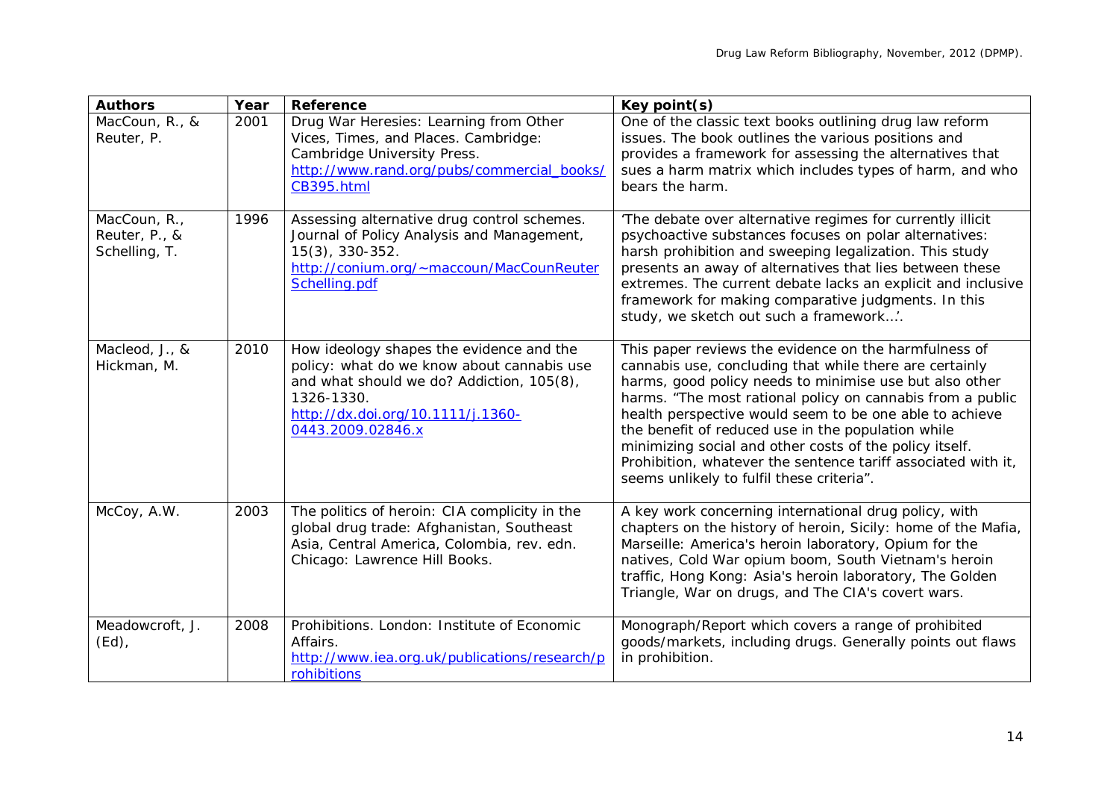| <b>Authors</b>                                 | Year | <b>Reference</b>                                                                                                                                                                                            | Key point(s)                                                                                                                                                                                                                                                                                                                                                                                                                                                                                                                        |
|------------------------------------------------|------|-------------------------------------------------------------------------------------------------------------------------------------------------------------------------------------------------------------|-------------------------------------------------------------------------------------------------------------------------------------------------------------------------------------------------------------------------------------------------------------------------------------------------------------------------------------------------------------------------------------------------------------------------------------------------------------------------------------------------------------------------------------|
| MacCoun, R., &<br>Reuter, P.                   | 2001 | Drug War Heresies: Learning from Other<br>Vices, Times, and Places. Cambridge:<br>Cambridge University Press.<br>http://www.rand.org/pubs/commercial_books/<br>CB395.html                                   | One of the classic text books outlining drug law reform<br>issues. The book outlines the various positions and<br>provides a framework for assessing the alternatives that<br>sues a harm matrix which includes types of harm, and who<br>bears the harm.                                                                                                                                                                                                                                                                           |
| MacCoun, R.,<br>Reuter, P., &<br>Schelling, T. | 1996 | Assessing alternative drug control schemes.<br>Journal of Policy Analysis and Management,<br>$15(3)$ , 330-352.<br>http://conium.org/~maccoun/MacCounReuter<br>Schelling.pdf                                | 'The debate over alternative regimes for currently illicit<br>psychoactive substances focuses on polar alternatives:<br>harsh prohibition and sweeping legalization. This study<br>presents an away of alternatives that lies between these<br>extremes. The current debate lacks an explicit and inclusive<br>framework for making comparative judgments. In this<br>study, we sketch out such a framework'.                                                                                                                       |
| Macleod, J., &<br>Hickman, M.                  | 2010 | How ideology shapes the evidence and the<br>policy: what do we know about cannabis use<br>and what should we do? Addiction, 105(8),<br>1326-1330.<br>http://dx.doi.org/10.1111/j.1360-<br>0443.2009.02846.x | This paper reviews the evidence on the harmfulness of<br>cannabis use, concluding that while there are certainly<br>harms, good policy needs to minimise use but also other<br>harms. "The most rational policy on cannabis from a public<br>health perspective would seem to be one able to achieve<br>the benefit of reduced use in the population while<br>minimizing social and other costs of the policy itself.<br>Prohibition, whatever the sentence tariff associated with it,<br>seems unlikely to fulfil these criteria". |
| McCoy, A.W.                                    | 2003 | The politics of heroin: CIA complicity in the<br>global drug trade: Afghanistan, Southeast<br>Asia, Central America, Colombia, rev. edn.<br>Chicago: Lawrence Hill Books.                                   | A key work concerning international drug policy, with<br>chapters on the history of heroin, Sicily: home of the Mafia,<br>Marseille: America's heroin laboratory, Opium for the<br>natives, Cold War opium boom, South Vietnam's heroin<br>traffic, Hong Kong: Asia's heroin laboratory, The Golden<br>Triangle, War on drugs, and The CIA's covert wars.                                                                                                                                                                           |
| Meadowcroft, J.<br>$(Ed)$ ,                    | 2008 | Prohibitions. London: Institute of Economic<br>Affairs.<br>http://www.iea.org.uk/publications/research/p<br>rohibitions                                                                                     | Monograph/Report which covers a range of prohibited<br>goods/markets, including drugs. Generally points out flaws<br>in prohibition.                                                                                                                                                                                                                                                                                                                                                                                                |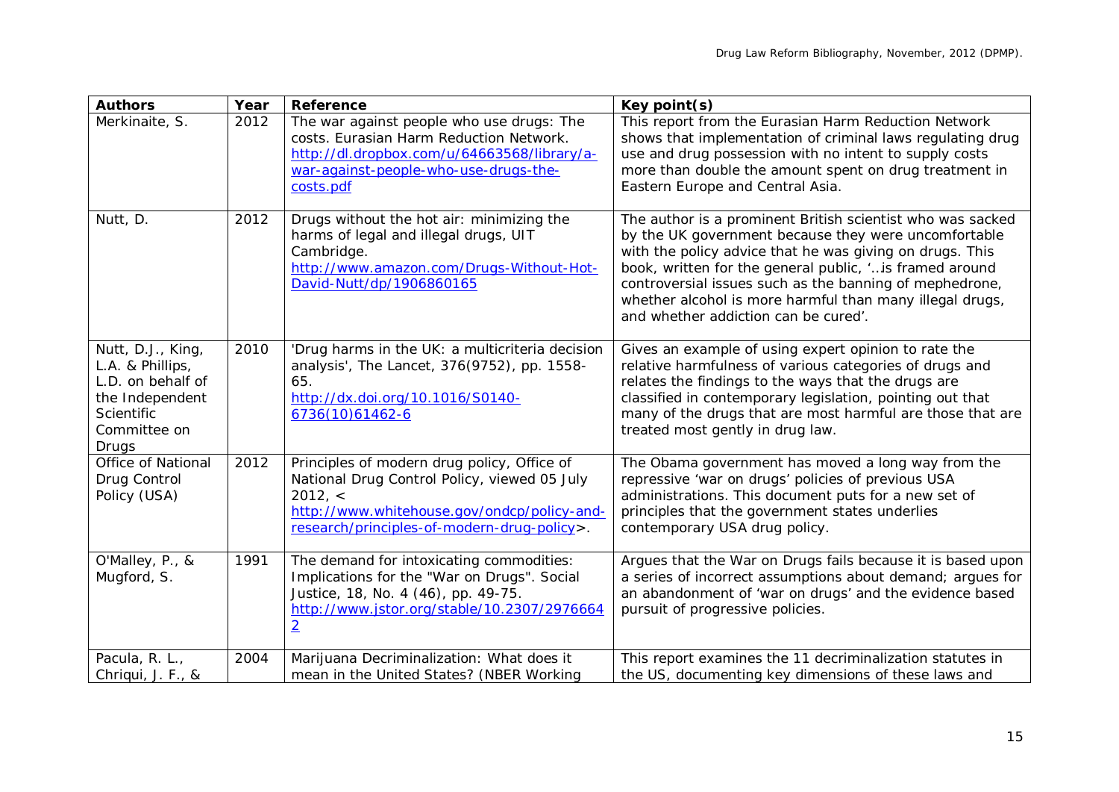| <b>Authors</b>                                                                                                              | Year | <b>Reference</b>                                                                                                                                                                                     | Key point(s)                                                                                                                                                                                                                                                                                                                                                                                              |
|-----------------------------------------------------------------------------------------------------------------------------|------|------------------------------------------------------------------------------------------------------------------------------------------------------------------------------------------------------|-----------------------------------------------------------------------------------------------------------------------------------------------------------------------------------------------------------------------------------------------------------------------------------------------------------------------------------------------------------------------------------------------------------|
| Merkinaite, S.                                                                                                              | 2012 | The war against people who use drugs: The<br>costs. Eurasian Harm Reduction Network.<br>http://dl.dropbox.com/u/64663568/library/a-<br>war-against-people-who-use-drugs-the-<br>costs.pdf            | This report from the Eurasian Harm Reduction Network<br>shows that implementation of criminal laws regulating drug<br>use and drug possession with no intent to supply costs<br>more than double the amount spent on drug treatment in<br>Eastern Europe and Central Asia.                                                                                                                                |
| Nutt, D.                                                                                                                    | 2012 | Drugs without the hot air: minimizing the<br>harms of legal and illegal drugs, UIT<br>Cambridge.<br>http://www.amazon.com/Drugs-Without-Hot-<br>David-Nutt/dp/1906860165                             | The author is a prominent British scientist who was sacked<br>by the UK government because they were uncomfortable<br>with the policy advice that he was giving on drugs. This<br>book, written for the general public, ' is framed around<br>controversial issues such as the banning of mephedrone,<br>whether alcohol is more harmful than many illegal drugs,<br>and whether addiction can be cured'. |
| Nutt, D.J., King,<br>L.A. & Phillips,<br>L.D. on behalf of<br>the Independent<br><b>Scientific</b><br>Committee on<br>Drugs | 2010 | 'Drug harms in the UK: a multicriteria decision<br>analysis', The Lancet, 376(9752), pp. 1558-<br>65.<br>http://dx.doi.org/10.1016/S0140-<br>6736(10)61462-6                                         | Gives an example of using expert opinion to rate the<br>relative harmfulness of various categories of drugs and<br>relates the findings to the ways that the drugs are<br>classified in contemporary legislation, pointing out that<br>many of the drugs that are most harmful are those that are<br>treated most gently in drug law.                                                                     |
| Office of National<br>Drug Control<br>Policy (USA)                                                                          | 2012 | Principles of modern drug policy, Office of<br>National Drug Control Policy, viewed 05 July<br>2012, <<br>http://www.whitehouse.gov/ondcp/policy-and-<br>research/principles-of-modern-drug-policy>. | The Obama government has moved a long way from the<br>repressive 'war on drugs' policies of previous USA<br>administrations. This document puts for a new set of<br>principles that the government states underlies<br>contemporary USA drug policy.                                                                                                                                                      |
| O'Malley, P., &<br>Mugford, S.                                                                                              | 1991 | The demand for intoxicating commodities:<br>Implications for the "War on Drugs". Social<br>Justice, 18, No. 4 (46), pp. 49-75.<br>http://www.jstor.org/stable/10.2307/2976664<br>$\overline{2}$      | Argues that the War on Drugs fails because it is based upon<br>a series of incorrect assumptions about demand; argues for<br>an abandonment of 'war on drugs' and the evidence based<br>pursuit of progressive policies.                                                                                                                                                                                  |
| Pacula, R. L.,<br>Chriqui, J. F., &                                                                                         | 2004 | Marijuana Decriminalization: What does it<br>mean in the United States? (NBER Working                                                                                                                | This report examines the 11 decriminalization statutes in<br>the US, documenting key dimensions of these laws and                                                                                                                                                                                                                                                                                         |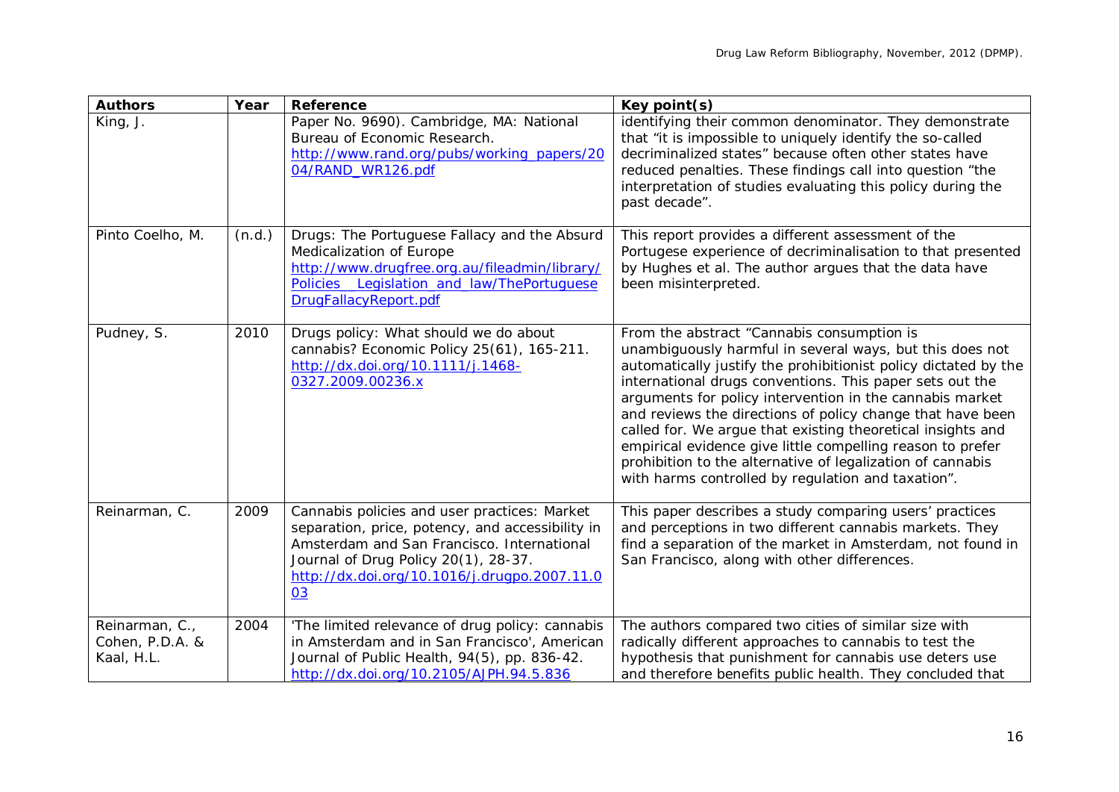| <b>Authors</b>                                  | Year   | <b>Reference</b>                                                                                                                                                                                                                             | Key point(s)                                                                                                                                                                                                                                                                                                                                                                                                                                                                                                                                                                                                     |
|-------------------------------------------------|--------|----------------------------------------------------------------------------------------------------------------------------------------------------------------------------------------------------------------------------------------------|------------------------------------------------------------------------------------------------------------------------------------------------------------------------------------------------------------------------------------------------------------------------------------------------------------------------------------------------------------------------------------------------------------------------------------------------------------------------------------------------------------------------------------------------------------------------------------------------------------------|
| King, J.                                        |        | Paper No. 9690). Cambridge, MA: National<br>Bureau of Economic Research.<br>http://www.rand.org/pubs/working_papers/20<br>04/RAND_WR126.pdf                                                                                                  | identifying their common denominator. They demonstrate<br>that "it is impossible to uniquely identify the so-called<br>decriminalized states" because often other states have<br>reduced penalties. These findings call into question "the<br>interpretation of studies evaluating this policy during the<br>past decade".                                                                                                                                                                                                                                                                                       |
| Pinto Coelho, M.                                | (n.d.) | Drugs: The Portuguese Fallacy and the Absurd<br>Medicalization of Europe<br>http://www.drugfree.org.au/fileadmin/library/<br>Policies__Legislation_and_law/ThePortuguese<br>DrugFallacyReport.pdf                                            | This report provides a different assessment of the<br>Portugese experience of decriminalisation to that presented<br>by Hughes et al. The author argues that the data have<br>been misinterpreted.                                                                                                                                                                                                                                                                                                                                                                                                               |
| Pudney, S.                                      | 2010   | Drugs policy: What should we do about<br>cannabis? Economic Policy 25(61), 165-211.<br>http://dx.doi.org/10.1111/j.1468-<br>0327.2009.00236.x                                                                                                | From the abstract "Cannabis consumption is<br>unambiguously harmful in several ways, but this does not<br>automatically justify the prohibitionist policy dictated by the<br>international drugs conventions. This paper sets out the<br>arguments for policy intervention in the cannabis market<br>and reviews the directions of policy change that have been<br>called for. We argue that existing theoretical insights and<br>empirical evidence give little compelling reason to prefer<br>prohibition to the alternative of legalization of cannabis<br>with harms controlled by regulation and taxation". |
| Reinarman, C.                                   | 2009   | Cannabis policies and user practices: Market<br>separation, price, potency, and accessibility in<br>Amsterdam and San Francisco. International<br>Journal of Drug Policy 20(1), 28-37.<br>http://dx.doi.org/10.1016/j.drugpo.2007.11.0<br>03 | This paper describes a study comparing users' practices<br>and perceptions in two different cannabis markets. They<br>find a separation of the market in Amsterdam, not found in<br>San Francisco, along with other differences.                                                                                                                                                                                                                                                                                                                                                                                 |
| Reinarman, C.,<br>Cohen, P.D.A. &<br>Kaal, H.L. | 2004   | 'The limited relevance of drug policy: cannabis<br>in Amsterdam and in San Francisco', American<br>Journal of Public Health, 94(5), pp. 836-42.<br>http://dx.doi.org/10.2105/AJPH.94.5.836                                                   | The authors compared two cities of similar size with<br>radically different approaches to cannabis to test the<br>hypothesis that punishment for cannabis use deters use<br>and therefore benefits public health. They concluded that                                                                                                                                                                                                                                                                                                                                                                            |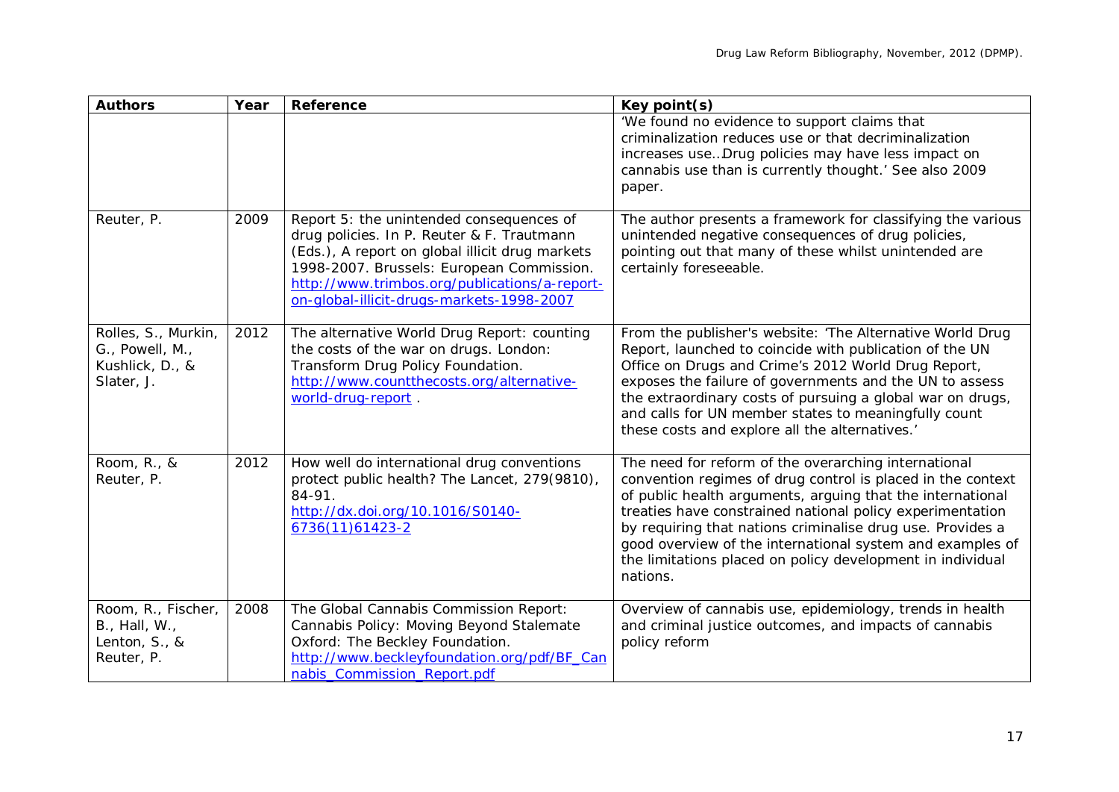| <b>Authors</b>                                                          | Year | Reference                                                                                                                                                                                                                                                                            | Key point(s)                                                                                                                                                                                                                                                                                                                                                                                                                                        |
|-------------------------------------------------------------------------|------|--------------------------------------------------------------------------------------------------------------------------------------------------------------------------------------------------------------------------------------------------------------------------------------|-----------------------------------------------------------------------------------------------------------------------------------------------------------------------------------------------------------------------------------------------------------------------------------------------------------------------------------------------------------------------------------------------------------------------------------------------------|
|                                                                         |      |                                                                                                                                                                                                                                                                                      | 'We found no evidence to support claims that<br>criminalization reduces use or that decriminalization<br>increases useDrug policies may have less impact on<br>cannabis use than is currently thought.' See also 2009<br>paper.                                                                                                                                                                                                                     |
| Reuter, P.                                                              | 2009 | Report 5: the unintended consequences of<br>drug policies. In P. Reuter & F. Trautmann<br>(Eds.), A report on global illicit drug markets<br>1998-2007. Brussels: European Commission.<br>http://www.trimbos.org/publications/a-report-<br>on-global-illicit-drugs-markets-1998-2007 | The author presents a framework for classifying the various<br>unintended negative consequences of drug policies,<br>pointing out that many of these whilst unintended are<br>certainly foreseeable.                                                                                                                                                                                                                                                |
| Rolles, S., Murkin,<br>G., Powell, M.,<br>Kushlick, D., &<br>Slater, J. | 2012 | The alternative World Drug Report: counting<br>the costs of the war on drugs. London:<br>Transform Drug Policy Foundation.<br>http://www.countthecosts.org/alternative-<br>world-drug-report.                                                                                        | From the publisher's website: 'The Alternative World Drug<br>Report, launched to coincide with publication of the UN<br>Office on Drugs and Crime's 2012 World Drug Report,<br>exposes the failure of governments and the UN to assess<br>the extraordinary costs of pursuing a global war on drugs,<br>and calls for UN member states to meaningfully count<br>these costs and explore all the alternatives.'                                      |
| Room, R., &<br>Reuter, P.                                               | 2012 | How well do international drug conventions<br>protect public health? The Lancet, 279(9810),<br>84-91.<br>http://dx.doi.org/10.1016/S0140-<br>$6736(11)61423-2$                                                                                                                       | The need for reform of the overarching international<br>convention regimes of drug control is placed in the context<br>of public health arguments, arguing that the international<br>treaties have constrained national policy experimentation<br>by requiring that nations criminalise drug use. Provides a<br>good overview of the international system and examples of<br>the limitations placed on policy development in individual<br>nations. |
| Room, R., Fischer,<br>B., Hall, W.,<br>Lenton, S., &<br>Reuter, P.      | 2008 | The Global Cannabis Commission Report:<br>Cannabis Policy: Moving Beyond Stalemate<br>Oxford: The Beckley Foundation.<br>http://www.beckleyfoundation.org/pdf/BF_Can<br>nabis_Commission_Report.pdf                                                                                  | Overview of cannabis use, epidemiology, trends in health<br>and criminal justice outcomes, and impacts of cannabis<br>policy reform                                                                                                                                                                                                                                                                                                                 |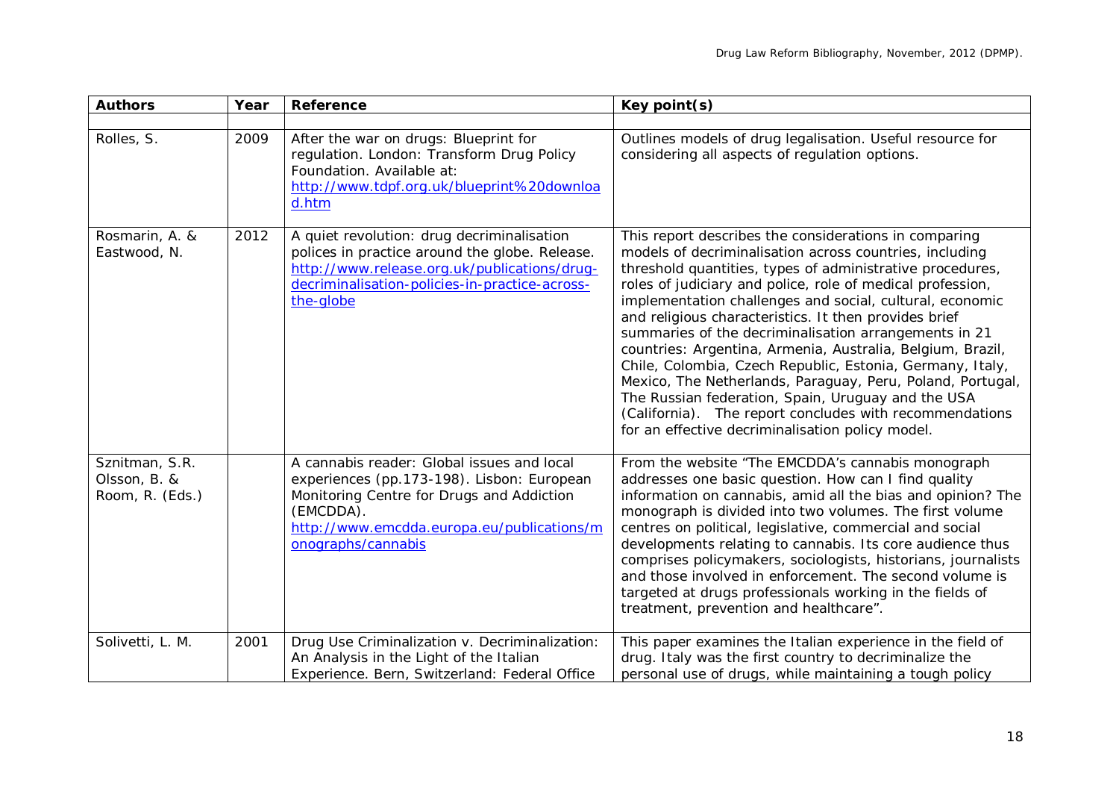| <b>Authors</b>                                    | Year | <b>Reference</b>                                                                                                                                                                                                       | Key point(s)                                                                                                                                                                                                                                                                                                                                                                                                                                                                                                                                                                                                                                                                                                                                                                            |
|---------------------------------------------------|------|------------------------------------------------------------------------------------------------------------------------------------------------------------------------------------------------------------------------|-----------------------------------------------------------------------------------------------------------------------------------------------------------------------------------------------------------------------------------------------------------------------------------------------------------------------------------------------------------------------------------------------------------------------------------------------------------------------------------------------------------------------------------------------------------------------------------------------------------------------------------------------------------------------------------------------------------------------------------------------------------------------------------------|
| Rolles, S.                                        | 2009 | After the war on drugs: Blueprint for<br>regulation. London: Transform Drug Policy<br>Foundation. Available at:<br>http://www.tdpf.org.uk/blueprint%20downloa<br>d.htm                                                 | Outlines models of drug legalisation. Useful resource for<br>considering all aspects of regulation options.                                                                                                                                                                                                                                                                                                                                                                                                                                                                                                                                                                                                                                                                             |
| Rosmarin, A. &<br>Eastwood, N.                    | 2012 | A quiet revolution: drug decriminalisation<br>polices in practice around the globe. Release.<br>http://www.release.org.uk/publications/drug-<br>decriminalisation-policies-in-practice-across-<br>the-globe            | This report describes the considerations in comparing<br>models of decriminalisation across countries, including<br>threshold quantities, types of administrative procedures,<br>roles of judiciary and police, role of medical profession,<br>implementation challenges and social, cultural, economic<br>and religious characteristics. It then provides brief<br>summaries of the decriminalisation arrangements in 21<br>countries: Argentina, Armenia, Australia, Belgium, Brazil,<br>Chile, Colombia, Czech Republic, Estonia, Germany, Italy,<br>Mexico, The Netherlands, Paraguay, Peru, Poland, Portugal,<br>The Russian federation, Spain, Uruguay and the USA<br>(California). The report concludes with recommendations<br>for an effective decriminalisation policy model. |
| Sznitman, S.R.<br>Olsson, B. &<br>Room, R. (Eds.) |      | A cannabis reader: Global issues and local<br>experiences (pp.173-198). Lisbon: European<br>Monitoring Centre for Drugs and Addiction<br>(EMCDDA).<br>http://www.emcdda.europa.eu/publications/m<br>onographs/cannabis | From the website "The EMCDDA's cannabis monograph<br>addresses one basic question. How can I find quality<br>information on cannabis, amid all the bias and opinion? The<br>monograph is divided into two volumes. The first volume<br>centres on political, legislative, commercial and social<br>developments relating to cannabis. Its core audience thus<br>comprises policymakers, sociologists, historians, journalists<br>and those involved in enforcement. The second volume is<br>targeted at drugs professionals working in the fields of<br>treatment, prevention and healthcare".                                                                                                                                                                                          |
| Solivetti, L. M.                                  | 2001 | Drug Use Criminalization v. Decriminalization:<br>An Analysis in the Light of the Italian<br>Experience. Bern, Switzerland: Federal Office                                                                             | This paper examines the Italian experience in the field of<br>drug. Italy was the first country to decriminalize the<br>personal use of drugs, while maintaining a tough policy                                                                                                                                                                                                                                                                                                                                                                                                                                                                                                                                                                                                         |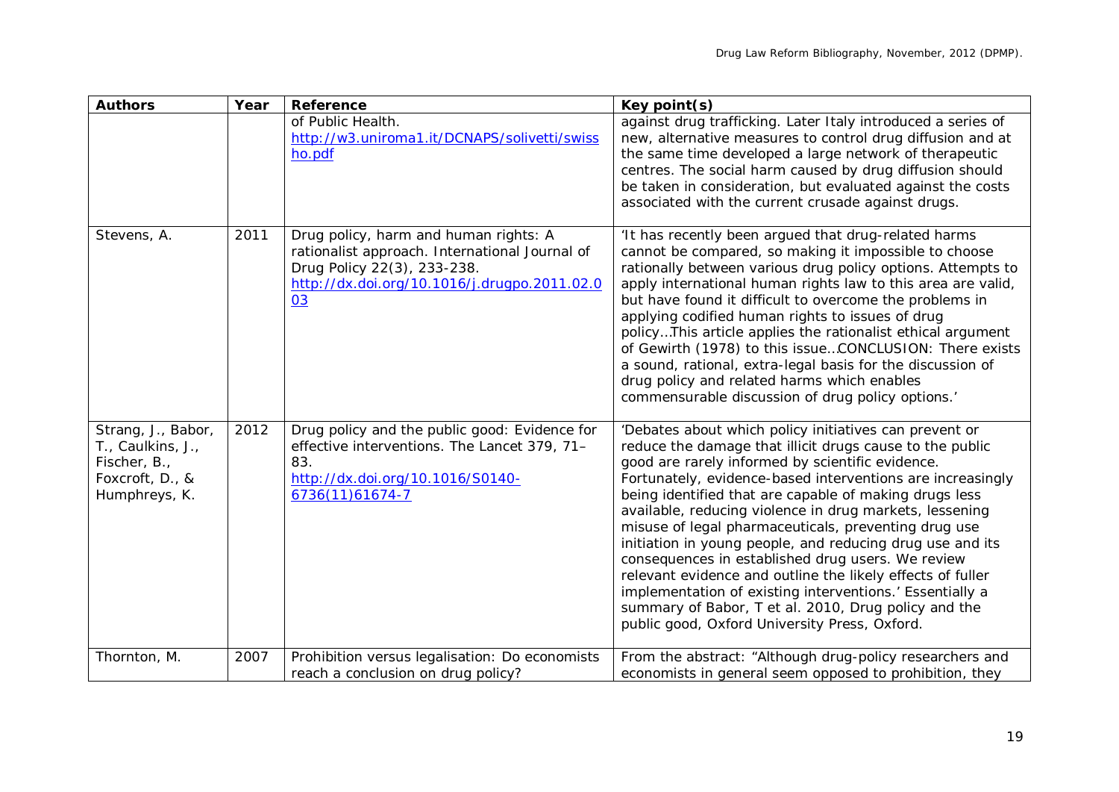| <b>Authors</b>                                                                              | Year | Reference                                                                                                                                                                    | Key point(s)                                                                                                                                                                                                                                                                                                                                                                                                                                                                                                                                                                                                                                                                                                                                                           |
|---------------------------------------------------------------------------------------------|------|------------------------------------------------------------------------------------------------------------------------------------------------------------------------------|------------------------------------------------------------------------------------------------------------------------------------------------------------------------------------------------------------------------------------------------------------------------------------------------------------------------------------------------------------------------------------------------------------------------------------------------------------------------------------------------------------------------------------------------------------------------------------------------------------------------------------------------------------------------------------------------------------------------------------------------------------------------|
|                                                                                             |      | of Public Health.<br>http://w3.uniroma1.it/DCNAPS/solivetti/swiss<br>ho.pdf                                                                                                  | against drug trafficking. Later Italy introduced a series of<br>new, alternative measures to control drug diffusion and at<br>the same time developed a large network of therapeutic<br>centres. The social harm caused by drug diffusion should<br>be taken in consideration, but evaluated against the costs<br>associated with the current crusade against drugs.                                                                                                                                                                                                                                                                                                                                                                                                   |
| Stevens, A.                                                                                 | 2011 | Drug policy, harm and human rights: A<br>rationalist approach. International Journal of<br>Drug Policy 22(3), 233-238.<br>http://dx.doi.org/10.1016/j.drugpo.2011.02.0<br>03 | 'It has recently been argued that drug-related harms<br>cannot be compared, so making it impossible to choose<br>rationally between various drug policy options. Attempts to<br>apply international human rights law to this area are valid,<br>but have found it difficult to overcome the problems in<br>applying codified human rights to issues of drug<br>policyThis article applies the rationalist ethical argument<br>of Gewirth (1978) to this issueCONCLUSION: There exists<br>a sound, rational, extra-legal basis for the discussion of<br>drug policy and related harms which enables<br>commensurable discussion of drug policy options.'                                                                                                                |
| Strang, J., Babor,<br>T., Caulkins, J.,<br>Fischer, B.,<br>Foxcroft, D., &<br>Humphreys, K. | 2012 | Drug policy and the public good: Evidence for<br>effective interventions. The Lancet 379, 71-<br>83.<br>http://dx.doi.org/10.1016/S0140-<br>6736(11)61674-7                  | 'Debates about which policy initiatives can prevent or<br>reduce the damage that illicit drugs cause to the public<br>good are rarely informed by scientific evidence.<br>Fortunately, evidence-based interventions are increasingly<br>being identified that are capable of making drugs less<br>available, reducing violence in drug markets, lessening<br>misuse of legal pharmaceuticals, preventing drug use<br>initiation in young people, and reducing drug use and its<br>consequences in established drug users. We review<br>relevant evidence and outline the likely effects of fuller<br>implementation of existing interventions.' Essentially a<br>summary of Babor, T et al. 2010, Drug policy and the<br>public good, Oxford University Press, Oxford. |
| Thornton, M.                                                                                | 2007 | Prohibition versus legalisation: Do economists<br>reach a conclusion on drug policy?                                                                                         | From the abstract: "Although drug-policy researchers and<br>economists in general seem opposed to prohibition, they                                                                                                                                                                                                                                                                                                                                                                                                                                                                                                                                                                                                                                                    |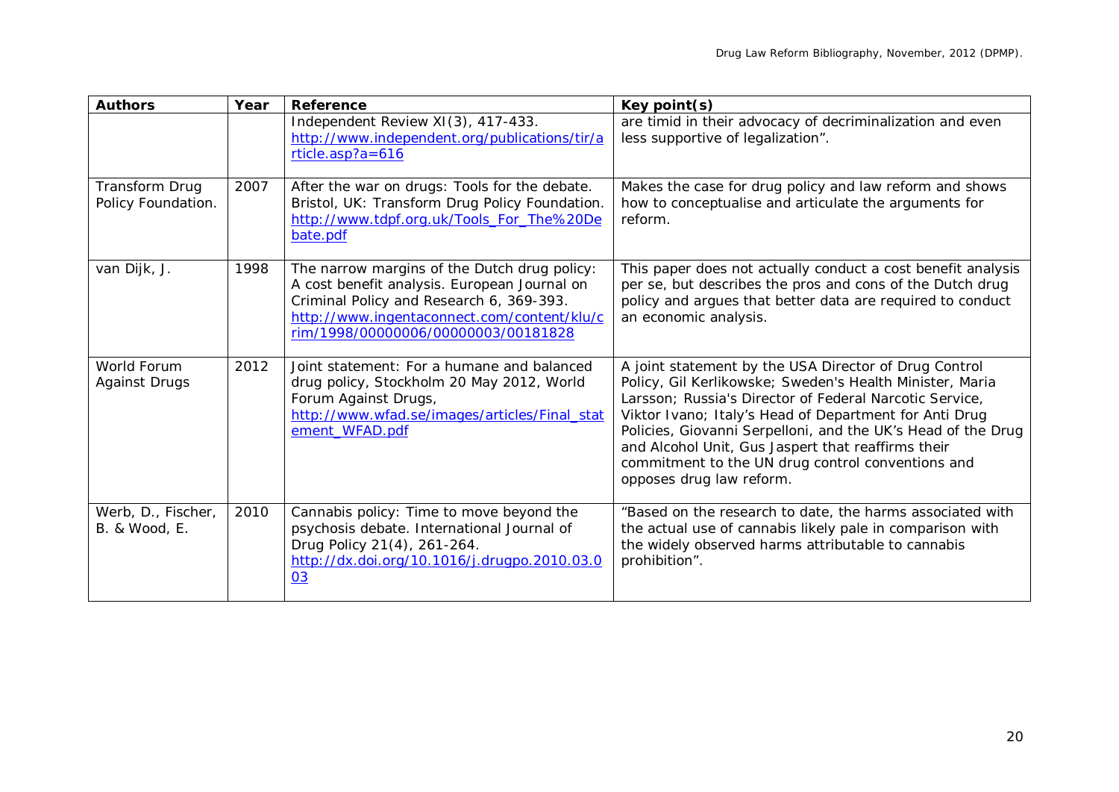| <b>Authors</b>                              | Year | <b>Reference</b>                                                                                                                                                                                                               | Key point(s)                                                                                                                                                                                                                                                                                                                                                                                                                                  |
|---------------------------------------------|------|--------------------------------------------------------------------------------------------------------------------------------------------------------------------------------------------------------------------------------|-----------------------------------------------------------------------------------------------------------------------------------------------------------------------------------------------------------------------------------------------------------------------------------------------------------------------------------------------------------------------------------------------------------------------------------------------|
|                                             |      | Independent Review XI(3), 417-433.<br>http://www.independent.org/publications/tir/a<br>$rticle.asp?a = 616$                                                                                                                    | are timid in their advocacy of decriminalization and even<br>less supportive of legalization".                                                                                                                                                                                                                                                                                                                                                |
| <b>Transform Drug</b><br>Policy Foundation. | 2007 | After the war on drugs: Tools for the debate.<br>Bristol, UK: Transform Drug Policy Foundation.<br>http://www.tdpf.org.uk/Tools_For_The%20De<br>bate.pdf                                                                       | Makes the case for drug policy and law reform and shows<br>how to conceptualise and articulate the arguments for<br>reform.                                                                                                                                                                                                                                                                                                                   |
| van Dijk, J.                                | 1998 | The narrow margins of the Dutch drug policy:<br>A cost benefit analysis. European Journal on<br>Criminal Policy and Research 6, 369-393.<br>http://www.ingentaconnect.com/content/klu/c<br>rim/1998/00000006/00000003/00181828 | This paper does not actually conduct a cost benefit analysis<br>per se, but describes the pros and cons of the Dutch drug<br>policy and argues that better data are required to conduct<br>an economic analysis.                                                                                                                                                                                                                              |
| World Forum<br><b>Against Drugs</b>         | 2012 | Joint statement: For a humane and balanced<br>drug policy, Stockholm 20 May 2012, World<br>Forum Against Drugs,<br>http://www.wfad.se/images/articles/Final_stat<br>ement_WFAD.pdf                                             | A joint statement by the USA Director of Drug Control<br>Policy, Gil Kerlikowske; Sweden's Health Minister, Maria<br>Larsson; Russia's Director of Federal Narcotic Service,<br>Viktor Ivano; Italy's Head of Department for Anti Drug<br>Policies, Giovanni Serpelloni, and the UK's Head of the Drug<br>and Alcohol Unit, Gus Jaspert that reaffirms their<br>commitment to the UN drug control conventions and<br>opposes drug law reform. |
| Werb, D., Fischer,<br>B. & Wood, E.         | 2010 | Cannabis policy: Time to move beyond the<br>psychosis debate. International Journal of<br>Drug Policy 21(4), 261-264.<br>http://dx.doi.org/10.1016/j.drugpo.2010.03.0<br>03                                                    | "Based on the research to date, the harms associated with<br>the actual use of cannabis likely pale in comparison with<br>the widely observed harms attributable to cannabis<br>prohibition".                                                                                                                                                                                                                                                 |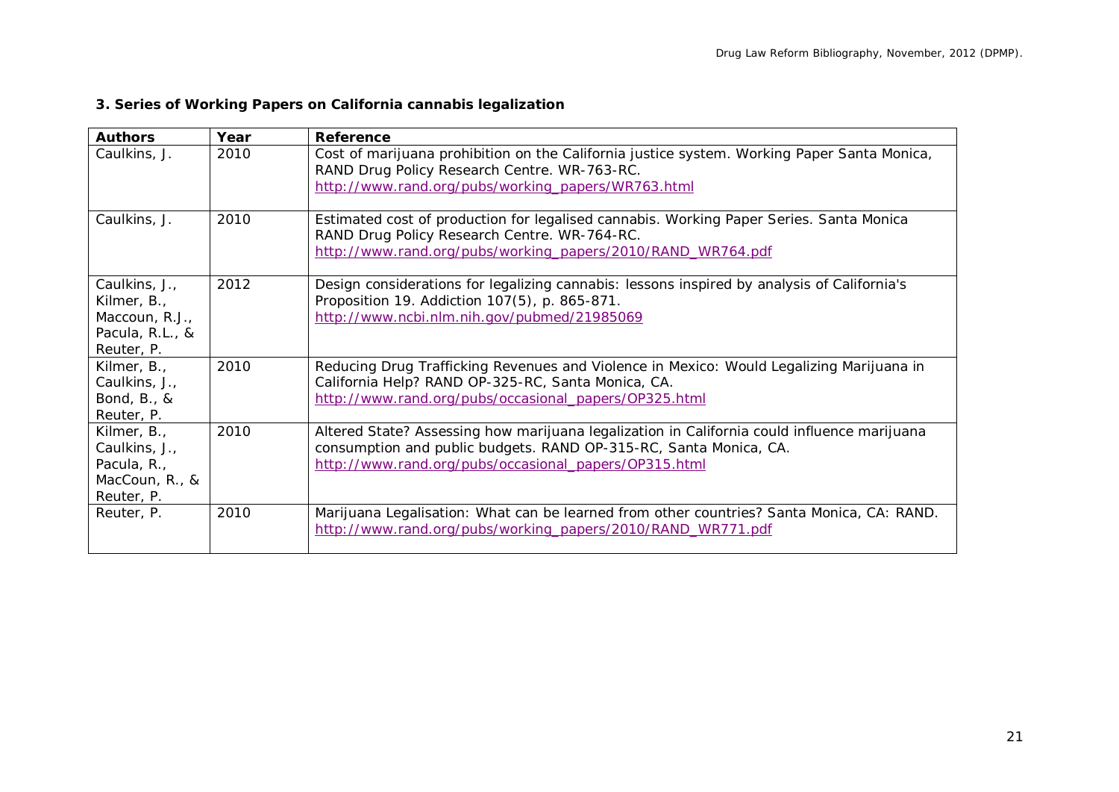# **3. Series of Working Papers on California cannabis legalization**

| <b>Authors</b>                                                                  | Year | Reference                                                                                                                                                                                                                 |
|---------------------------------------------------------------------------------|------|---------------------------------------------------------------------------------------------------------------------------------------------------------------------------------------------------------------------------|
| Caulkins, J.                                                                    | 2010 | Cost of marijuana prohibition on the California justice system. Working Paper Santa Monica,<br>RAND Drug Policy Research Centre. WR-763-RC.<br>http://www.rand.org/pubs/working_papers/WR763.html                         |
| Caulkins, J.                                                                    | 2010 | Estimated cost of production for legalised cannabis. Working Paper Series. Santa Monica<br>RAND Drug Policy Research Centre. WR-764-RC.<br>http://www.rand.org/pubs/working_papers/2010/RAND_WR764.pdf                    |
| Caulkins, J.,<br>Kilmer, B.,<br>Maccoun, R.J.,<br>Pacula, R.L., &<br>Reuter, P. | 2012 | Design considerations for legalizing cannabis: lessons inspired by analysis of California's<br>Proposition 19. Addiction 107(5), p. 865-871.<br>http://www.ncbi.nlm.nih.gov/pubmed/21985069                               |
| Kilmer, B.,<br>Caulkins, J.,<br>Bond, B., &<br>Reuter, P.                       | 2010 | Reducing Drug Trafficking Revenues and Violence in Mexico: Would Legalizing Marijuana in<br>California Help? RAND OP-325-RC, Santa Monica, CA.<br>http://www.rand.org/pubs/occasional_papers/OP325.html                   |
| Kilmer, B.,<br>Caulkins, J.,<br>Pacula, R.,<br>MacCoun, R., &<br>Reuter, P.     | 2010 | Altered State? Assessing how marijuana legalization in California could influence marijuana<br>consumption and public budgets. RAND OP-315-RC, Santa Monica, CA.<br>http://www.rand.org/pubs/occasional_papers/OP315.html |
| Reuter, P.                                                                      | 2010 | Marijuana Legalisation: What can be learned from other countries? Santa Monica, CA: RAND.<br>http://www.rand.org/pubs/working_papers/2010/RAND_WR771.pdf                                                                  |